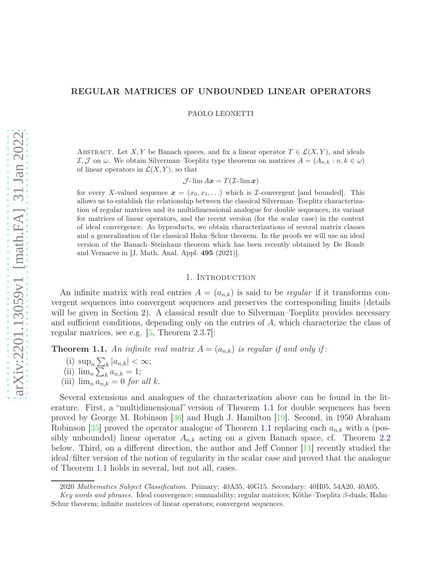## REGULAR MATRICES OF UNBOUNDED LINEAR OPERATORS

PAOLO LEONETTI

ABSTRACT. Let X, Y be Banach spaces, and fix a linear operator  $T \in \mathcal{L}(X, Y)$ , and ideals I, J on  $\omega$ . We obtain Silverman–Toeplitz type theorems on matrices  $A = (A_{n,k} : n, k \in \omega)$ of linear operators in  $\mathcal{L}(X, Y)$ , so that

 $\mathcal{J}$ -lim  $Ax = T(\mathcal{I}$ -lim x)

for every X-valued sequence  $x = (x_0, x_1, \ldots)$  which is *I*-convergent [and bounded]. This allows us to establish the relationship between the classical Silverman–Toeplitz characterization of regular matrices and its multidimensional analogue for double sequences, its variant for matrices of linear operators, and the recent version (for the scalar case) in the context of ideal convergence. As byproducts, we obtain characterizations of several matrix classes and a generalization of the classical Hahn–Schur theorem. In the proofs we will use an ideal version of the Banach–Steinhaus theorem which has been recently obtained by De Bondt and Vernaeve in [J. Math. Anal. Appl. 495 (2021)].

### 1. INTRODUCTION

An infinite matrix with real entries  $A = (a_{n,k})$  is said to be *regular* if it transforms convergent sequences into convergent sequences and preserves the corresponding limits (details will be given in Section [2\)](#page-1-0). A classical result due to Silverman–Toeplitz provides necessary and sufficient conditions, depending only on the entries of A, which characterize the class of regular matrices, see e.g.  $\vert 5$ , Theorem 2.3.7.

<span id="page-0-0"></span>**Theorem 1.1.** An infinite real matrix  $A = (a_{n,k})$  is regular if and only if:

- (i)  $\sup_n \sum_k |a_{n,k}| < \infty;$
- (ii)  $\lim_{n} \sum_{k} a_{n,k} = 1;$
- (iii)  $\lim_{n} a_{n,k} = 0$  *for all k.*

Several extensions and analogues of the characterization above can be found in the literature. First, a "multidimensional" version of Theorem [1.1](#page-0-0) for double sequences has been proved by George M. Robinson [\[36\]](#page-24-0) and Hugh J. Hamilton [\[19\]](#page-24-1). Second, in 1950 Abraham Robinson [\[35\]](#page-24-2) proved the operator analogue of Theorem [1.1](#page-0-0) replacing each  $a_{n,k}$  with a (possibly unbounded) linear operator  $A_{n,k}$  acting on a given Banach space, cf. Theorem [2.2](#page-3-0) below. Third, on a different direction, the author and Jeff Connor [\[11\]](#page-23-1) recently studied the ideal/filter version of the notion of regularity in the scalar case and proved that the analogue of Theorem [1.1](#page-0-0) holds in several, but not all, cases.

<sup>2020</sup> *Mathematics Subject Classification.* Primary: 40A35, 40G15. Secondary: 40H05, 54A20, 40A05.

*Key words and phrases.* Ideal convergence; summability; regular matrices; Köthe–Toeplitz β-duals; Hahn– Schur theorem; infinite matrices of linear operators; convergent sequences.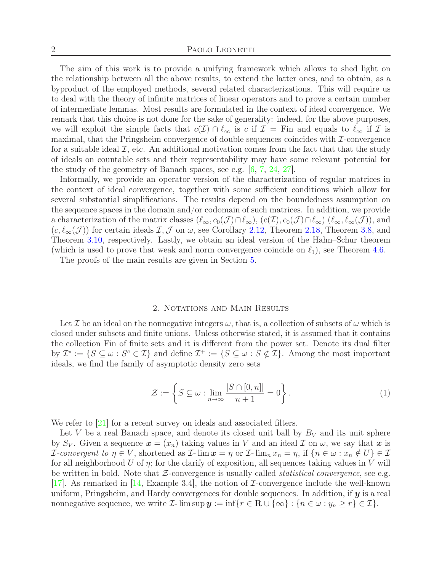The aim of this work is to provide a unifying framework which allows to shed light on the relationship between all the above results, to extend the latter ones, and to obtain, as a byproduct of the employed methods, several related characterizations. This will require us to deal with the theory of infinite matrices of linear operators and to prove a certain number of intermediate lemmas. Most results are formulated in the context of ideal convergence. We remark that this choice is not done for the sake of generality: indeed, for the above purposes, we will exploit the simple facts that  $c(\mathcal{I}) \cap \ell_{\infty}$  is c if  $\mathcal{I} =$  Fin and equals to  $\ell_{\infty}$  if  $\mathcal{I}$  is maximal, that the Pringsheim convergence of double sequences coincides with  $\mathcal{I}$ -convergence for a suitable ideal  $\mathcal{I}$ , etc. An additional motivation comes from the fact that that the study of ideals on countable sets and their representability may have some relevant potential for the study of the geometry of Banach spaces, see e.g. [\[6,](#page-23-2) [7,](#page-23-3) [24,](#page-24-3) [27\]](#page-24-4).

Informally, we provide an operator version of the characterization of regular matrices in the context of ideal convergence, together with some sufficient conditions which allow for several substantial simplifications. The results depend on the boundedness assumption on the sequence spaces in the domain and/or codomain of such matrices. In addition, we provide a characterization of the matrix classes  $(\ell_{\infty}, c_0(\mathcal{J}) \cap \ell_{\infty}), (c(\mathcal{I}), c_0(\mathcal{J}) \cap \ell_{\infty}) (\ell_{\infty}, \ell_{\infty}(\mathcal{J}))$ , and  $(c, \ell_{\infty}(\mathcal{J}))$  for certain ideals  $\mathcal{I}, \mathcal{J}$  on  $\omega$ , see Corollary [2.12,](#page-6-0) Theorem [2.18,](#page-9-0) Theorem [3.8,](#page-13-0) and Theorem [3.10,](#page-13-1) respectively. Lastly, we obtain an ideal version of the Hahn–Schur theorem (which is used to prove that weak and norm convergence coincide on  $\ell_1$ ), see Theorem [4.6.](#page-18-0)

The proofs of the main results are given in Section [5.](#page-19-0)

#### 2. NOTATIONS AND MAIN RESULTS

<span id="page-1-0"></span>Let T be an ideal on the nonnegative integers  $\omega$ , that is, a collection of subsets of  $\omega$  which is closed under subsets and finite unions. Unless otherwise stated, it is assumed that it contains the collection Fin of finite sets and it is different from the power set. Denote its dual filter by  $\mathcal{I}^* := \{ S \subseteq \omega : S^c \in \mathcal{I} \}$  and define  $\mathcal{I}^+ := \{ S \subseteq \omega : S \notin \mathcal{I} \}$ . Among the most important ideals, we find the family of asymptotic density zero sets

<span id="page-1-1"></span>
$$
\mathcal{Z} := \left\{ S \subseteq \omega : \lim_{n \to \infty} \frac{|S \cap [0, n]|}{n + 1} = 0 \right\}.
$$
 (1)

We refer to [\[21\]](#page-24-5) for a recent survey on ideals and associated filters.

Let V be a real Banach space, and denote its closed unit ball by  $B_V$  and its unit sphere by S<sub>V</sub>. Given a sequence  $\boldsymbol{x} = (x_n)$  taking values in V and an ideal  $\mathcal I$  on  $\omega$ , we say that  $\boldsymbol{x}$  is *I*-convergent to  $\eta \in V$ , shortened as *I*- $\lim x = \eta$  or *I*- $\lim_n x_n = \eta$ , if  $\{n \in \omega : x_n \notin U\} \in \mathcal{I}$ for all neighborhood U of  $\eta$ ; for the clarify of exposition, all sequences taking values in V will be written in bold. Note that Z-convergence is usually called *statistical convergence*, see e.g. [\[17\]](#page-24-6). As remarked in [\[14,](#page-23-4) Example 3.4], the notion of I-convergence include the well-known uniform, Pringsheim, and Hardy convergences for double sequences. In addition, if  $y$  is a real nonnegative sequence, we write  $\mathcal{I}\text{-}\limsup \mathbf{y} := \inf \{r \in \mathbf{R} \cup \{\infty\} : \{n \in \omega : y_n \geq r\} \in \mathcal{I}\}.$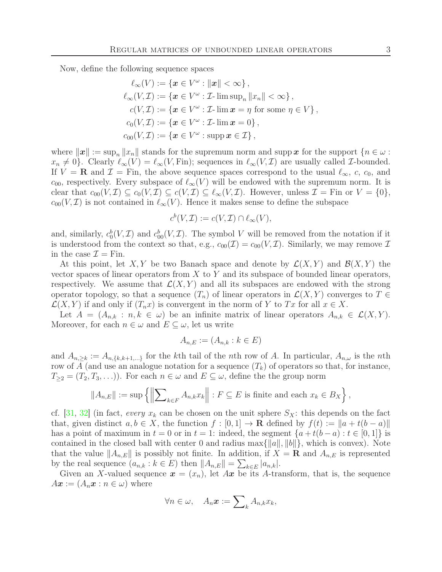Now, define the following sequence spaces

$$
\ell_{\infty}(V) := \{ \boldsymbol{x} \in V^{\omega} : ||\boldsymbol{x}|| < \infty \},
$$
  
\n
$$
\ell_{\infty}(V, \mathcal{I}) := \{ \boldsymbol{x} \in V^{\omega} : \mathcal{I} \text{-} \limsup_{n} ||x_{n}|| < \infty \},
$$
  
\n
$$
c(V, \mathcal{I}) := \{ \boldsymbol{x} \in V^{\omega} : \mathcal{I} \text{-} \lim \boldsymbol{x} = \eta \text{ for some } \eta \in V \},
$$
  
\n
$$
c_{0}(V, \mathcal{I}) := \{ \boldsymbol{x} \in V^{\omega} : \mathcal{I} \text{-} \lim \boldsymbol{x} = 0 \},
$$
  
\n
$$
c_{00}(V, \mathcal{I}) := \{ \boldsymbol{x} \in V^{\omega} : \text{supp} \, \boldsymbol{x} \in \mathcal{I} \},
$$

where  $\|\boldsymbol{x}\| := \sup_n \|x_n\|$  stands for the supremum norm and supp x for the support  $\{n \in \omega :$  $x_n \neq 0$ . Clearly  $\ell_\infty(V) = \ell_\infty(V, \text{Fin})$ ; sequences in  $\ell_\infty(V, \mathcal{I})$  are usually called *I*-bounded. If  $V = \mathbf{R}$  and  $\mathcal{I} = \text{Fin}$ , the above sequence spaces correspond to the usual  $\ell_{\infty}$ , c, c<sub>0</sub>, and  $c_{00}$ , respectively. Every subspace of  $\ell_{\infty}(V)$  will be endowed with the supremum norm. It is clear that  $c_{00}(V, \mathcal{I}) \subseteq c_0(V, \mathcal{I}) \subseteq c(V, \mathcal{I}) \subseteq \ell_\infty(V, \mathcal{I})$ . However, unless  $\mathcal{I} = \text{Fin}$  or  $V = \{0\},$  $c_{00}(V,\mathcal{I})$  is not contained in  $\ell_{\infty}(V)$ . Hence it makes sense to define the subspace

$$
c^b(V, \mathcal{I}) := c(V, \mathcal{I}) \cap \ell_{\infty}(V),
$$

and, similarly,  $c_0^b(V,\mathcal{I})$  and  $c_{00}^b(V,\mathcal{I})$ . The symbol V will be removed from the notation if it is understood from the context so that, e.g.,  $c_{00}(\mathcal{I}) = c_{00}(V, \mathcal{I})$ . Similarly, we may remove  $\mathcal{I}$ in the case  $\mathcal{I} = \text{Fin}$ .

At this point, let X, Y be two Banach space and denote by  $\mathcal{L}(X, Y)$  and  $\mathcal{B}(X, Y)$  the vector spaces of linear operators from  $X$  to  $Y$  and its subspace of bounded linear operators, respectively. We assume that  $\mathcal{L}(X, Y)$  and all its subspaces are endowed with the strong operator topology, so that a sequence  $(T_n)$  of linear operators in  $\mathcal{L}(X, Y)$  converges to  $T \in$  $\mathcal{L}(X, Y)$  if and only if  $(T_n x)$  is convergent in the norm of Y to Tx for all  $x \in X$ .

Let  $A = (A_{n,k} : n, k \in \omega)$  be an infinite matrix of linear operators  $A_{n,k} \in \mathcal{L}(X, Y)$ . Moreover, for each  $n \in \omega$  and  $E \subseteq \omega$ , let us write

$$
A_{n,E} := (A_{n,k} : k \in E)
$$

and  $A_{n,\geq k} := A_{n,\{k,k+1,...\}}$  for the kth tail of the nth row of A. In particular,  $A_{n,\omega}$  is the nth row of A (and use an analogue notation for a sequence  $(T_k)$  of operators so that, for instance,  $T_{\geq 2} = (T_2, T_3, \ldots)$ . For each  $n \in \omega$  and  $E \subseteq \omega$ , define the the group norm

$$
||A_{n,E}|| := \sup \left\{ \left\| \sum_{k \in F} A_{n,k} x_k \right\| : F \subseteq E \text{ is finite and each } x_k \in B_X \right\},\
$$

cf.  $[31, 32]$  $[31, 32]$  (in fact, *every*  $x_k$  can be chosen on the unit sphere  $S_X$ : this depends on the fact that, given distinct  $a, b \in X$ , the function  $f : [0, 1] \to \mathbf{R}$  defined by  $f(t) := ||a + t(b - a)||$ has a point of maximum in  $t = 0$  or in  $t = 1$ : indeed, the segment  $\{a + t(b - a) : t \in [0, 1]\}$  is contained in the closed ball with center 0 and radius max $\{||a||, ||b||\}$ , which is convex). Note that the value  $||A_{n,E}||$  is possibly not finite. In addition, if  $X = \mathbf{R}$  and  $A_{n,E}$  is represented by the real sequence  $(a_{n,k}: k \in E)$  then  $||A_{n,E}|| = \sum_{k \in E} |a_{n,k}|$ .

Given an X-valued sequence  $\boldsymbol{x} = (x_n)$ , let  $A\boldsymbol{x}$  be its A-transform, that is, the sequence  $Ax := (A_n x : n \in \omega)$  where

$$
\forall n \in \omega, \quad A_n \boldsymbol{x} := \sum\nolimits_k A_{n,k} x_k,
$$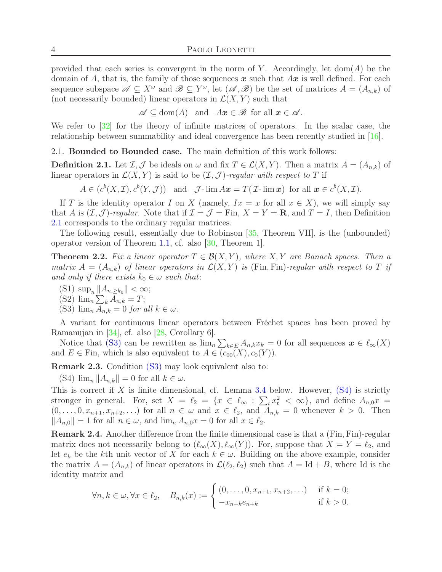provided that each series is convergent in the norm of Y. Accordingly, let  $dom(A)$  be the domain of A, that is, the family of those sequences  $\boldsymbol{x}$  such that  $A\boldsymbol{x}$  is well defined. For each sequence subspace  $\mathscr{A} \subseteq X^{\omega}$  and  $\mathscr{B} \subseteq Y^{\omega}$ , let  $(\mathscr{A}, \mathscr{B})$  be the set of matrices  $A = (A_{n,k})$  of (not necessarily bounded) linear operators in  $\mathcal{L}(X, Y)$  such that

 $\mathscr{A} \subseteq \text{dom}(A)$  and  $Ax \in \mathscr{B}$  for all  $x \in \mathscr{A}$ .

We refer to [\[32\]](#page-24-8) for the theory of infinite matrices of operators. In the scalar case, the relationship between summability and ideal convergence has been recently studied in [\[16\]](#page-24-9).

<span id="page-3-5"></span>2.1. Bounded to Bounded case. The main definition of this work follows:

<span id="page-3-1"></span>**Definition 2.1.** Let  $\mathcal{I}, \mathcal{J}$  be ideals on  $\omega$  and fix  $T \in \mathcal{L}(X, Y)$ . Then a matrix  $A = (A_{n,k})$  of linear operators in  $\mathcal{L}(X, Y)$  is said to be  $(\mathcal{I}, \mathcal{J})$ *-regular with respect to* T if

 $A \in (c^b(X, \mathcal{I}), c^b(Y, \mathcal{J}))$  and  $\mathcal{J}\text{-}\lim A\boldsymbol{x} = T(\mathcal{I}\text{-}\lim \boldsymbol{x})$  for all  $\boldsymbol{x} \in c^b(X, \mathcal{I})$ .

If T is the identity operator I on X (namely,  $Ix = x$  for all  $x \in X$ ), we will simply say that A is  $(\mathcal{I}, \mathcal{J})$ *-regular*. Note that if  $\mathcal{I} = \mathcal{J} = \text{Fin}$ ,  $X = Y = \mathbf{R}$ , and  $T = I$ , then Definition [2.1](#page-3-1) corresponds to the ordinary regular matrices.

The following result, essentially due to Robinson [\[35,](#page-24-2) Theorem VII], is the (unbounded) operator version of Theorem [1.1,](#page-0-0) cf. also [\[30,](#page-24-10) Theorem 1].

<span id="page-3-0"></span>**Theorem 2.2.** Fix a linear operator  $T \in \mathcal{B}(X, Y)$ , where  $X, Y$  are Banach spaces. Then a *matrix*  $A = (A_{n,k})$  *of linear operators in*  $\mathcal{L}(X, Y)$  *is* (Fin, Fin)*-regular with respect to* T *if and only if there exists*  $k_0 \in \omega$  *such that:* 

<span id="page-3-4"></span>(S1)  $\sup_n \|A_{n,\geq k_0}\| < \infty;$ 

<span id="page-3-2"></span>(S2)  $\lim_{n} \sum_{k} A_{n,k} = T;$ 

(S3)  $\lim_{n} A_{n,k} = 0$  *for all*  $k \in \omega$ .

A variant for continuous linear operators between Fréchet spaces has been proved by Ramanujan in [\[34\]](#page-24-11), cf. also [\[28,](#page-24-12) Corollary 6].

Notice that (S[3\)](#page-3-2) can be rewritten as  $\lim_{n} \sum_{k \in E} A_{n,k} x_k = 0$  for all sequences  $x \in \ell_{\infty}(X)$ and  $E \in \text{Fin}$ , which is also equivalent to  $A \in (c_{00}(X), c_0(Y))$ .

<span id="page-3-7"></span><span id="page-3-3"></span>Remark 2.3. Condition (S[3\)](#page-3-2) may look equivalent also to:

(S4)  $\lim_{n}$   $||A_{n,k}|| = 0$  for all  $k \in \omega$ .

This is correct if X is finite dimensional, cf. Lemma [3.4](#page-11-0) below. However,  $(S4)$  $(S4)$  is strictly stronger in general. For, set  $X = \ell_2 = \{x \in \ell_\infty : \sum_t x_t^2 < \infty\}$ , and define  $A_{n,0}x =$  $(0, \ldots, 0, x_{n+1}, x_{n+2}, \ldots)$  for all  $n \in \omega$  and  $x \in \ell_2$ , and  $A_{n,k} = 0$  whenever  $k > 0$ . Then  $||A_{n,0}|| = 1$  for all  $n \in \omega$ , and  $\lim_{n \to \infty} A_{n,0}x = 0$  for all  $x \in \ell_2$ .

<span id="page-3-6"></span>Remark 2.4. Another difference from the finite dimensional case is that a (Fin, Fin)-regular matrix does not necessarily belong to  $(\ell_{\infty}(X), \ell_{\infty}(Y))$ . For, suppose that  $X = Y = \ell_2$ , and let  $e_k$  be the kth unit vector of X for each  $k \in \omega$ . Building on the above example, consider the matrix  $A = (A_{n,k})$  of linear operators in  $\mathcal{L}(\ell_2, \ell_2)$  such that  $A = \text{Id} + B$ , where Id is the identity matrix and

$$
\forall n, k \in \omega, \forall x \in \ell_2, \quad B_{n,k}(x) := \begin{cases} (0, \dots, 0, x_{n+1}, x_{n+2}, \dots) & \text{if } k = 0; \\ -x_{n+k}e_{n+k} & \text{if } k > 0. \end{cases}
$$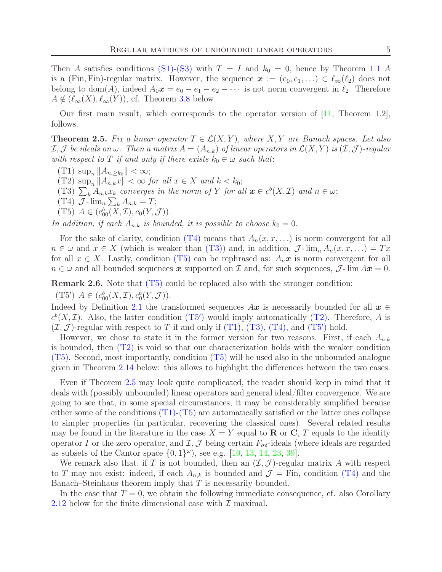Then A satisfies conditions (S[1\)-](#page-3-4)(S[3\)](#page-3-2) with  $T = I$  and  $k_0 = 0$ , hence by Theorem [1.1](#page-0-0) A is a (Fin, Fin)-regular matrix. However, the sequence  $\boldsymbol{x} := (e_0, e_1, \ldots) \in \ell_{\infty}(\ell_2)$  does not belong to dom(A), indeed  $A_0x = e_0 - e_1 - e_2 - \cdots$  is not norm convergent in  $\ell_2$ . Therefore  $A \notin (\ell_{\infty}(X), \ell_{\infty}(Y)),$  cf. Theorem [3.8](#page-13-0) below.

Our first main result, which corresponds to the operator version of [\[11,](#page-23-1) Theorem 1.2], follows.

<span id="page-4-6"></span>**Theorem 2.5.** Fix a linear operator  $T \in \mathcal{L}(X, Y)$ , where  $X, Y$  are Banach spaces. Let also  $I, J$  *be ideals on*  $\omega$ *. Then a matrix*  $A = (A_{n,k})$  *of linear operators in*  $\mathcal{L}(X, Y)$  *is*  $(I, J)$ *-regular with respect to* T *if and only if there exists*  $k_0 \in \omega$  *such that:* 

- <span id="page-4-5"></span><span id="page-4-4"></span>(T1)  $\sup_n ||A_{n, \ge k_0}|| < \infty;$
- <span id="page-4-1"></span>(T2)  $\sup_n ||A_{n,k}x|| < \infty$  *for all*  $x \in X$  *and*  $k < k_0$ ;
- <span id="page-4-0"></span>(T3)  $\sum_{k} A_{n,k} x_k$  *converges in the norm of* Y *for all*  $\boldsymbol{x} \in c^b(X, \mathcal{I})$  *and*  $n \in \omega$ ;
- <span id="page-4-2"></span>(T4)  $\mathcal{J}$ - $\lim_{n} \sum_{k} A_{n,k} = T;$
- (T5)  $A \in (c_{00}^b(X, \mathcal{I}), c_0(Y, \mathcal{J})).$

*In addition, if each*  $A_{n,k}$  *is bounded, it is possible to choose*  $k_0 = 0$ *.* 

For the sake of clarity, condition (T[4\)](#page-4-0) means that  $A_n(x, x, \ldots)$  is norm convergent for all  $n \in \omega$  and  $x \in X$  (which is weaker than (T[3\)\)](#page-4-1) and, in addition,  $\mathcal{J}\text{-}\lim_{n} A_n(x, x, \ldots) = Tx$ for all  $x \in X$ . Lastly, condition (T[5\)](#page-4-2) can be rephrased as:  $A_n x$  is norm convergent for all  $n \in \omega$  and all bounded sequences x supported on Z and, for such sequences,  $\mathcal{J}$ - $\lim Ax = 0$ .

<span id="page-4-7"></span><span id="page-4-3"></span>Remark 2.6. Note that (T[5\)](#page-4-2) could be replaced also with the stronger condition:

(T5')  $A \in (c_{00}^b(X, \mathcal{I}), c_0^b(Y, \mathcal{J})).$ 

Indeed by Definition [2.1](#page-3-1) the transformed sequences  $Ax$  is necessarily bounded for all  $x \in$  $c^b(X, \mathcal{I})$ . Also, the latter condition ([T](#page-4-3)5') would imply automatically (T[2\).](#page-4-4) Therefore, A is  $(\mathcal{I}, \mathcal{J})$ -regular with respect to T if and only if (T[1\),](#page-4-5) (T[3\),](#page-4-1) (T[4\),](#page-4-0) and ([T](#page-4-3)5') hold.

However, we chose to state it in the former version for two reasons. First, if each  $A_{n,k}$ is bounded, then (T[2\)](#page-4-4) is void so that our characterization holds with the weaker condition (T[5\).](#page-4-2) Second, most importantly, condition (T[5\)](#page-4-2) will be used also in the unbounded analogue given in Theorem [2.14](#page-7-0) below: this allows to highlight the differences between the two cases.

Even if Theorem [2.5](#page-4-6) may look quite complicated, the reader should keep in mind that it deals with (possibly unbounded) linear operators and general ideal/filter convergence. We are going to see that, in some special circumstances, it may be considerably simplified because either some of the conditions  $(T1)-(T5)$  $(T1)-(T5)$  $(T1)-(T5)$  $(T1)-(T5)$  are automatically satisfied or the latter ones collapse to simpler properties (in particular, recovering the classical ones). Several related results may be found in the literature in the case  $X = Y$  equal to **R** or **C**, T equals to the identity operator I or the zero operator, and  $\mathcal{I}, \mathcal{J}$  being certain  $F_{\sigma\delta}$ -ideals (where ideals are regarded as subsets of the Cantor space  $\{0,1\}^\omega$ , see e.g.  $[10, 13, 14, 23, 39]$  $[10, 13, 14, 23, 39]$  $[10, 13, 14, 23, 39]$  $[10, 13, 14, 23, 39]$  $[10, 13, 14, 23, 39]$  $[10, 13, 14, 23, 39]$  $[10, 13, 14, 23, 39]$  $[10, 13, 14, 23, 39]$ .

We remark also that, if T is not bounded, then an  $(\mathcal{I}, \mathcal{J})$ -regular matrix A with respect to T may not exist: indeed, if each  $A_{n,k}$  is bounded and  $\mathcal{J} =$  Fin, condition (T[4\)](#page-4-0) and the Banach–Steinhaus theorem imply that  $T$  is necessarily bounded.

In the case that  $T = 0$ , we obtain the following immediate consequence, cf. also Corollary [2.12](#page-6-0) below for the finite dimensional case with  $\mathcal I$  maximal.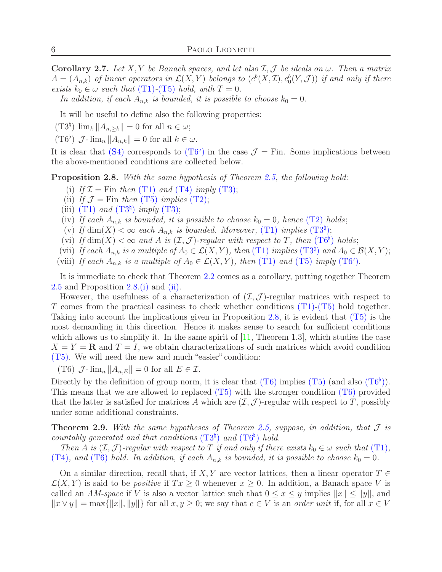Corollary 2.7. Let X, Y be Banach spaces, and let also  $I, J$  be ideals on  $\omega$ . Then a matrix  $A = (A_{n,k})$  *of linear operators in*  $\mathcal{L}(X, Y)$  *belongs to*  $(c^b(X, \mathcal{I}), c_0^b(Y, \mathcal{J}))$  *if and only if there exists*  $k_0 \in \omega$  *such that* (T[1\)](#page-4-5)-(T[5\)](#page-4-2) *hold, with*  $T = 0$ *.* 

In addition, if each  $A_{n,k}$  is bounded, it is possible to choose  $k_0 = 0$ .

<span id="page-5-1"></span>It will be useful to define also the following properties:

<span id="page-5-0"></span> $(T3^{\natural}) \lim_{k} ||A_{n,\geq k}|| = 0$  for all  $n \in \omega;$ 

 $(T6^{\flat})$   $\mathcal{J}\text{-}\lim_{n} ||A_{n,k}|| = 0$  for all  $k \in \omega$ .

It is clear that (S[4\)](#page-3-3) corresponds to  $(T6^{\flat})$  $(T6^{\flat})$  $(T6^{\flat})$  in the case  $\mathcal{J} =$  Fin. Some implications between the above-mentioned conditions are collected below.

<span id="page-5-4"></span><span id="page-5-3"></span><span id="page-5-2"></span>Proposition 2.8. *With the same hypothesis of Theorem [2.5,](#page-4-6) the following hold*:

- (i) If  $\mathcal{I} =$  Fin then (T[1\)](#page-4-5) and (T[4\)](#page-4-0) *imply* (T[3\);](#page-4-1)
- <span id="page-5-8"></span>(ii) *If*  $\mathcal{J} =$  Fin *then* (T[5\)](#page-4-2) *implies* (T[2\);](#page-4-4)
- <span id="page-5-7"></span>(iii) (T[1\)](#page-4-5) and ([T](#page-5-1)3<sup> $\sharp$ </sup>) imply (T[3\);](#page-4-1)
- <span id="page-5-6"></span>(iv) If each  $A_{n,k}$  is bounded, it is possible to choose  $k_0 = 0$ , hence (T[2\)](#page-4-4) holds;
- <span id="page-5-9"></span>(v) If  $\dim(X) < \infty$  each  $A_{n,k}$  is bounded. Moreover, (T[1\)](#page-4-5) *implies* ([T](#page-5-1)3<sup>4</sup>);
- <span id="page-5-10"></span>(vi) If  $\dim(X) < \infty$  and A is  $(\mathcal{I}, \mathcal{J})$ -regular with respect to [T](#page-5-0), then  $(T6^{\circ})$  holds;
- <span id="page-5-11"></span>(vii) *If each*  $A_{n,k}$  *is a multiple of*  $A_0 \in \mathcal{L}(X, Y)$ *, then* (T[1\)](#page-4-5) *implies* ([T](#page-5-1)3<sup>4</sup>) *and*  $A_0 \in \mathcal{B}(X, Y)$ ;
- (viii) *If each*  $A_{n,k}$  *is a multiple of*  $A_0 \in \mathcal{L}(X, Y)$ *, then* (T[1\)](#page-4-5) *and* (T[5\)](#page-4-2) *imply* ([T](#page-5-0)6<sup>b</sup>).

It is immediate to check that Theorem [2.2](#page-3-0) comes as a corollary, putting together Theorem [2.5](#page-4-6) and Proposition [2.8](#page-5-2)[.\(i\)](#page-5-3) and [\(ii\).](#page-5-4)

However, the usefulness of a characterization of  $(\mathcal{I}, \mathcal{J})$ -regular matrices with respect to T comes from the practical easiness to check whether conditions  $(T1)-(T5)$  $(T1)-(T5)$  $(T1)-(T5)$  $(T1)-(T5)$  hold together. Taking into account the implications given in Proposition [2.8,](#page-5-2) it is evident that (T[5\)](#page-4-2) is the most demanding in this direction. Hence it makes sense to search for sufficient conditions which allows us to simplify it. In the same spirit of  $[11,$  Theorem 1.3, which studies the case  $X = Y = \mathbf{R}$  and  $T = I$ , we obtain characterizations of such matrices which avoid condition (T[5\).](#page-4-2) We will need the new and much "easier" condition:

<span id="page-5-5"></span>(T6)  $\mathcal{J}\text{-}\lim_n ||A_{n,E}|| = 0$  for all  $E \in \mathcal{I}$ .

Directly by the definition of group norm, it is clear that  $(T6)$  $(T6)$  implies  $(T5)$  $(T5)$  (and also  $(T6^{\flat})$  $(T6^{\flat})$  $(T6^{\flat})$ ). This means that we are allowed to replaced  $(T5)$  $(T5)$  with the stronger condition  $(T6)$  $(T6)$  provided that the latter is satisfied for matrices A which are  $(\mathcal{I}, \mathcal{J})$ -regular with respect to T, possibly under some additional constraints.

<span id="page-5-12"></span>Theorem 2.9. *With the same hypotheses of Theorem [2.5,](#page-4-6) suppose, in addition, that* J *is countably generated and that conditions*  $(T3^{\natural})$  $(T3^{\natural})$  $(T3^{\natural})$  *and*  $(T6^{\flat})$  *hold.* 

*Then* A *is*  $(\mathcal{I}, \mathcal{J})$ *-regular with respect to* T *if and only if there exists*  $k_0 \in \omega$  *such that* (T[1\)](#page-4-5)*,* (T[4\)](#page-4-0), and (T[6\)](#page-5-5) hold. In addition, if each  $A_{n,k}$  is bounded, it is possible to choose  $k_0 = 0$ .

On a similar direction, recall that, if X, Y are vector lattices, then a linear operator  $T \in$  $\mathcal{L}(X, Y)$  is said to be *positive* if  $Tx \geq 0$  whenever  $x \geq 0$ . In addition, a Banach space V is called an *AM-space* if V is also a vector lattice such that  $0 \le x \le y$  implies  $||x|| \le ||y||$ , and  $||x \vee y|| = \max{||x||, ||y||}$  for all  $x, y \geq 0$ ; we say that  $e \in V$  is an *order unit* if, for all  $x \in V$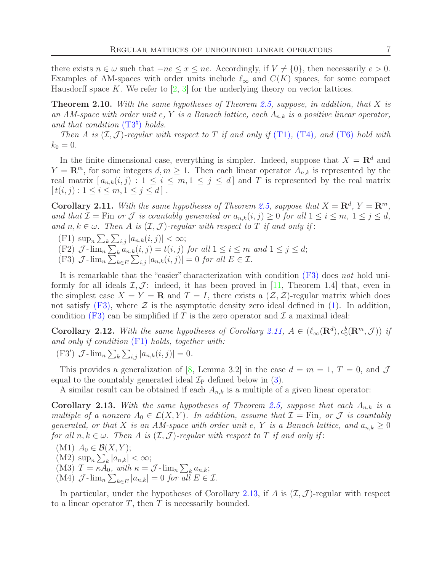there exists  $n \in \omega$  such that  $-ne \leq x \leq ne$ . Accordingly, if  $V \neq \{0\}$ , then necessarily  $e > 0$ . Examples of AM-spaces with order units include  $\ell_{\infty}$  and  $C(K)$  spaces, for some compact Hausdorff space K. We refer to  $\left[2, 3\right]$  for the underlying theory on vector lattices.

<span id="page-6-5"></span>Theorem 2.10. *With the same hypotheses of Theorem [2.5,](#page-4-6) suppose, in addition, that* X *is an AM-space with order unit* e*,* Y *is a Banach lattice, each* An,k *is a positive linear operator,* and that condition  $(T3^{\natural})$  $(T3^{\natural})$  $(T3^{\natural})$  holds.

*Then* A *is*  $(\mathcal{I}, \mathcal{J})$ *-regular with respect to* T *if and only if* (T[1\)](#page-4-5)*,* (T[4\)](#page-4-0)*, and* (T[6\)](#page-5-5) *hold with*  $k_0 = 0.$ 

In the finite dimensional case, everything is simpler. Indeed, suppose that  $X = \mathbb{R}^d$  and  $Y = \mathbb{R}^m$ , for some integers  $d, m \geq 1$ . Then each linear operator  $A_{n,k}$  is represented by the real matrix  $[a_{n,k}(i,j): 1 \le i \le m, 1 \le j \le d]$  and T is represented by the real matrix  $[t(i, j) : 1 \leq i \leq m, 1 \leq j \leq d].$ 

<span id="page-6-2"></span>**Corollary 2.11.** With the same hypotheses of Theorem [2.5,](#page-4-6) suppose that  $X = \mathbb{R}^d$ ,  $Y = \mathbb{R}^m$ , *and that*  $\mathcal{I} = \text{Fin}$  *or*  $\mathcal{J}$  *is countably generated or*  $a_{n,k}(i,j) \geq 0$  *for all*  $1 \leq i \leq m, 1 \leq j \leq d$ , and  $n, k \in \omega$ . Then A is  $(\mathcal{I}, \mathcal{J})$ -regular with respect to T if and only if:

- <span id="page-6-6"></span><span id="page-6-3"></span>(F1)  $\sup_n \sum_k \sum_{i,j} |a_{n,k}(i,j)| < \infty;$
- <span id="page-6-1"></span>(F2)  $\mathcal{J}$ - $\lim_{n} \sum_{k} a_{n,k}(i, j) = t(i, j)$  *for all*  $1 \leq i \leq m$  *and*  $1 \leq j \leq d$ ;
- (F3)  $\mathcal{J}$ - $\lim_{n} \sum_{k \in E} \sum_{i,j} |a_{n,k}(i,j)| = 0$  *for all*  $E \in \mathcal{I}$ .

It is remarkable that the "easier" characterization with condition (F[3\)](#page-6-1) does *not* hold uniformly for all ideals  $\mathcal{I}, \mathcal{J}$ : indeed, it has been proved in [\[11,](#page-23-1) Theorem 1.4] that, even in the simplest case  $X = Y = \mathbf{R}$  and  $T = I$ , there exists a  $(\mathcal{Z}, \mathcal{Z})$ -regular matrix which does not satisfy  $(F3)$ , where  $\mathcal Z$  is the asymptotic density zero ideal defined in [\(1\)](#page-1-1). In addition, condition (F[3\)](#page-6-1) can be simplified if T is the zero operator and  $\mathcal I$  a maximal ideal:

<span id="page-6-0"></span>Corollary 2.12. With the same hypotheses of Corollary [2.11,](#page-6-2)  $A \in (\ell_{\infty}(\mathbf{R}^d), c_0^b(\mathbf{R}^m, \mathcal{J}))$  if *and only if condition* (F[1\)](#page-6-3) *holds, together with:*

<span id="page-6-7"></span>(F3')  $\mathcal{J}$ - $\lim_{n} \sum_{k} \sum_{i,j} |a_{n,k}(i,j)| = 0.$ 

This provides a generalization of [\[8,](#page-23-9) Lemma 3.2] in the case  $d = m = 1, T = 0$ , and J equal to the countably generated ideal  $\mathcal{I}_P$  defined below in [\(3\)](#page-7-1).

A similar result can be obtained if each  $A_{n,k}$  is a multiple of a given linear operator:

<span id="page-6-4"></span>Corollary 2.13. With the same hypotheses of Theorem [2.5,](#page-4-6) suppose that each  $A_{n,k}$  is a *multiple of a nonzero*  $A_0 \in \mathcal{L}(X, Y)$ *. In addition, assume that*  $\mathcal{I} = \text{Fin}$ *, or*  $\mathcal{J}$  *is countably generated, or that* X *is an AM-space with order unit e, Y is a Banach lattice, and*  $a_{n,k} \geq 0$ *for all*  $n, k \in \omega$ . Then A *is*  $(\mathcal{I}, \mathcal{J})$ *-regular with respect to* T *if and only if:* 

<span id="page-6-9"></span><span id="page-6-8"></span>(M1)  $A_0 \in \mathcal{B}(X, Y);$ 

<span id="page-6-10"></span> $(M2) \ \sup_n \sum_k |a_{n,k}| < \infty;$ 

<span id="page-6-11"></span>(M3)  $T = \kappa A_0$ , with  $\kappa = \mathcal{J}$ - $\lim_n \sum_k a_{n,k};$ 

(M4)  $\mathcal{J}$ - $\lim_{n} \sum_{k \in E} |a_{n,k}| = 0$  *for all*  $E \in \mathcal{I}$ .

In particular, under the hypotheses of Corollary [2.13,](#page-6-4) if A is  $(\mathcal{I}, \mathcal{J})$ -regular with respect to a linear operator  $T$ , then  $T$  is necessarily bounded.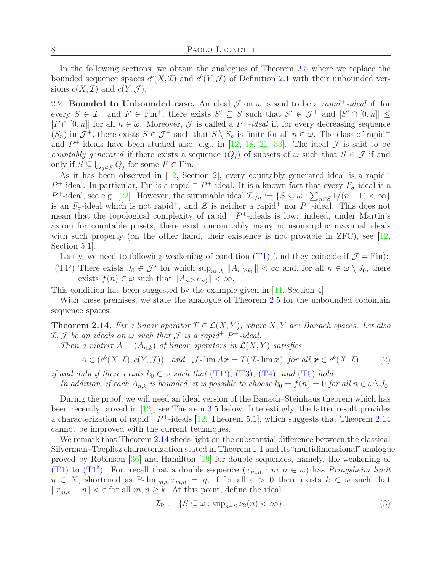In the following sections, we obtain the analogues of Theorem [2.5](#page-4-6) where we replace the bounded sequence spaces  $c^b(X, \mathcal{I})$  and  $c^b(Y, \mathcal{J})$  of Definition [2.1](#page-3-1) with their unbounded versions  $c(X, \mathcal{I})$  and  $c(Y, \mathcal{J})$ .

2.2. **Bounded to Unbounded case.** An ideal  $\mathcal{J}$  on  $\omega$  is said to be a *rapid*<sup>+</sup>-*ideal* if, for every  $S \in \mathcal{I}^+$  and  $F \in \text{Fin}^+$ , there exists  $S' \subseteq S$  such that  $S' \in \mathcal{J}^+$  and  $|S' \cap [0,n]| \leq$  $|F \cap [0,n]|$  for all  $n \in \omega$ . Moreover,  $\mathcal J$  is called a  $P^+$ -ideal if, for every decreasing sequence  $(S_n)$  in  $\mathcal{J}^+$ , there exists  $S \in \mathcal{J}^+$  such that  $S \setminus S_n$  is finite for all  $n \in \omega$ . The class of rapid<sup>+</sup> and  $P^+$ -ideals have been studied also, e.g., in [\[12,](#page-23-10) [18,](#page-24-15) [21,](#page-24-5) [33\]](#page-24-16). The ideal  $\mathcal J$  is said to be *countably generated* if there exists a sequence  $(Q_i)$  of subsets of  $\omega$  such that  $S \in \mathcal{J}$  if and only if  $S \subseteq \bigcup_{j \in F} Q_j$  for some  $F \in \text{Fin}$ .

As it has been observed in  $[12,$  Section 2, every countably generated ideal is a rapid<sup>+</sup>  $P^+$ -ideal. In particular, Fin is a rapid  $+P^+$ -ideal. It is a known fact that every  $F_{\sigma}$ -ideal is a P<sup>+</sup>-ideal, see e.g. [\[22\]](#page-24-17). However, the summable ideal  $\mathcal{I}_{1/n} := \{ S \subseteq \omega : \sum_{n \in S} 1/(n+1) < \infty \}$ is an  $F_{\sigma}$ -ideal which is not rapid<sup>+</sup>, and  $\mathcal Z$  is neither a rapid<sup>+</sup> nor P<sup>+</sup>-ideal. This does not mean that the topological complexity of rapid<sup>+</sup>  $P^+$ -ideals is low: indeed, under Martin's axiom for countable posets, there exist uncountably many nonisomorphic maximal ideals with such property (on the other hand, their existence is not provable in  $ZFC$ ), see [\[12,](#page-23-10) Section 5.1].

<span id="page-7-2"></span>Lastly, we need to following weakening of condition (T[1\)](#page-4-5) (and they coincide if  $\mathcal{J} = \text{Fin}$ ):

 $(T1^{\flat})$  There exists  $J_0 \in \mathcal{J}^*$  for which  $\sup_{n \in J_0} ||A_{n, \geq k_0}|| < \infty$  and, for all  $n \in \omega \setminus J_0$ , there exists  $f(n) \in \omega$  such that  $||A_{n,\geq f(n)}|| < \infty$ .

This condition has been suggested by the example given in [\[11,](#page-23-1) Section 4].

With these premises, we state the analogue of Theorem [2.5](#page-4-6) for the unbounded codomain sequence spaces.

<span id="page-7-0"></span>**Theorem 2.14.** *Fix a linear operator*  $T \in \mathcal{L}(X, Y)$ *, where* X*,Y are Banach spaces. Let also*  $\mathcal{I}, \mathcal{J}$  *be an ideals on*  $\omega$  *such that*  $\mathcal{J}$  *is a rapid*<sup>+</sup>  $P^+$ -*ideal.* 

*Then a matrix*  $A = (A_{n,k})$  *of linear operators in*  $\mathcal{L}(X, Y)$  *satisfies* 

$$
A \in (c^b(X, \mathcal{I}), c(Y, \mathcal{J})) \quad and \quad \mathcal{J}\text{-}\lim A\boldsymbol{x} = T(\mathcal{I}\text{-}\lim \boldsymbol{x}) \quad \text{for all } \boldsymbol{x} \in c^b(X, \mathcal{I}). \tag{2}
$$

*if and only if there exists*  $k_0 \in \omega$  *such that*  $(T1^{\flat})$  $(T1^{\flat})$  $(T1^{\flat})$ ,  $(T3)$  $(T3)$ ,  $(T4)$  $(T4)$ *, and*  $(T5)$  $(T5)$  *hold.* 

*In addition, if each*  $A_{n,k}$  *is bounded, it is possible to choose*  $k_0 = f(n) = 0$  *for all*  $n \in \omega \setminus J_0$ *.* 

During the proof, we will need an ideal version of the Banach–Steinhaus theorem which has been recently proved in [\[12\]](#page-23-10), see Theorem [3.5](#page-12-0) below. Interestingly, the latter result provides a characterization of rapid<sup>+</sup>  $P^+$ -ideals [\[12,](#page-23-10) Theorem 5.1], which suggests that Theorem [2.14](#page-7-0) cannot be improved with the current techniques.

We remark that Theorem [2.14](#page-7-0) sheds light on the substantial difference between the classical Silverman–Toeplitz characterization stated in Theorem [1.1](#page-0-0) and its "multidimensional" analogue proved by Robinson  $\left|36\right|$  and Hamilton  $\left|19\right|$  for double sequences, namely, the weakening of (T[1\)](#page-4-5) to ([T](#page-7-2)1<sup>b</sup>). For, recall that a double sequence  $(x_{m,n}: m, n \in \omega)$  has *Pringsheim limit*  $\eta \in X$ , shortened as P- $\lim_{m,n} x_{m,n} = \eta$ , if for all  $\varepsilon > 0$  there exists  $k \in \omega$  such that  $||x_{m,n} - \eta|| < \varepsilon$  for all  $m, n \geq k$ . At this point, define the ideal

<span id="page-7-1"></span>
$$
\mathcal{I}_{P} := \{ S \subseteq \omega : \sup_{n \in S} \nu_{2}(n) < \infty \},\tag{3}
$$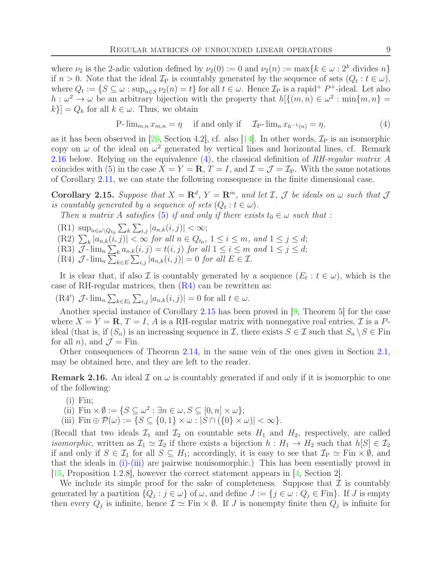where  $\nu_2$  is the 2-adic valution defined by  $\nu_2(0) := 0$  and  $\nu_2(n) := \max\{k \in \omega : 2^k \text{ divides } n\}$ if  $n > 0$ . Note that the ideal  $\mathcal{I}_P$  is countably generated by the sequence of sets  $(Q_t : t \in \omega)$ , where  $Q_t := \{ S \subseteq \omega : \sup_{n \in S} \nu_2(n) = t \}$  for all  $t \in \omega$ . Hence  $\mathcal{I}_P$  is a rapid<sup>+</sup>  $P^+$ -ideal. Let also  $h:\omega^2\to\omega$  be an arbitrary bijection with the property that  $h\left[\{(m,n)\in\omega^2:\min\{m,n\}=\}$  $k\}$  =  $Q_k$  for all  $k \in \omega$ . Thus, we obtain

<span id="page-8-1"></span>
$$
\text{P-}\lim_{m,n} x_{m,n} = \eta \quad \text{if and only if} \quad \mathcal{I}_{\text{P-}}\lim_{n} x_{h^{-1}(n)} = \eta,\tag{4}
$$

as it has been observed in [\[26,](#page-24-18) Section 4.2], cf. also [\[14\]](#page-23-4). In other words,  $\mathcal{I}_P$  is an isomorphic copy on  $\omega$  of the ideal on  $\omega^2$  generated by vertical lines and horizontal lines, cf. Remark [2.16](#page-8-0) below. Relying on the equivalence [\(4\)](#page-8-1), the classical definition of *RH-regular matrix* A coincides with [\(5\)](#page-9-1) in the case  $X = Y = \mathbf{R}$ ,  $T = I$ , and  $\mathcal{I} = \mathcal{J} = \mathcal{I}_P$ . With the same notations of Corollary [2.11,](#page-6-2) we can state the following consequence in the finite dimensional case.

<span id="page-8-3"></span>Corollary 2.15. Suppose that  $X = \mathbb{R}^d$ ,  $Y = \mathbb{R}^m$ , and let  $\mathcal{I}$ ,  $\mathcal{J}$  be ideals on  $\omega$  such that  $\mathcal{J}$ *is countably generated by a sequence of sets*  $(Q_t : t \in \omega)$ *.* 

<span id="page-8-6"></span>*Then a matrix A satisfies* [\(5\)](#page-9-1) *if and only if there exists*  $t_0 \in \omega$  *such that* :

- <span id="page-8-7"></span> $(R1) \ \sup_{n \in \omega \setminus Q_{t_0}} \sum_k \sum_{i,j} |a_{n,k}(i,j)| < \infty;$
- <span id="page-8-8"></span> $(R2) \sum_{k} |a_{n,k}(i,j)| < \infty$  *for all*  $n \in Q_{t_0}, 1 \le i \le m$ *, and*  $1 \le j \le d$ ;
- <span id="page-8-2"></span>(R3)  $\mathcal{J}$ - $\lim_{n} \sum_{k} a_{n,k}(i, j) = t(i, j)$  *for all*  $1 \leq i \leq m$  *and*  $1 \leq j \leq d$ ;
- (R4)  $\mathcal{J}$ - $\lim_{n} \sum_{k \in E} \sum_{i,j} |a_{n,k}(i,j)| = 0$  *for all*  $E \in \mathcal{I}$ .

It is clear that, if also  $\mathcal I$  is countably generated by a sequence  $(E_t : t \in \omega)$ , which is the case of RH-regular matrices, then  $(R4)$  $(R4)$  can be rewritten as:

(R4')  $\mathcal{J}\text{-}\lim_{n}\sum_{k\in E_t}\sum_{i,j}|a_{n,k}(i,j)|=0$  for all  $t\in\omega$ .

Another special instance of Corollary [2.15](#page-8-3) has been proved in [\[9,](#page-23-11) Theorem 5] for the case where  $X = Y = \mathbf{R}$ ,  $T = I$ , A is a RH-regular matrix with nonnegative real entries,  $\mathcal{I}$  is a Pideal (that is, if  $(S_n)$  is an increasing sequence in  $\mathcal{I}$ , there exists  $S \in \mathcal{I}$  such that  $S_n \setminus S \in \text{Fin}$ for all *n*), and  $\mathcal{J} =$  Fin.

Other consequences of Theorem [2.14,](#page-7-0) in the same vein of the ones given in Section [2.1,](#page-3-5) may be obtained here, and they are left to the reader.

<span id="page-8-4"></span><span id="page-8-0"></span>**Remark 2.16.** An ideal  $\mathcal{I}$  on  $\omega$  is countably generated if and only if it is isomorphic to one of the following:

- $(i)$  Fin;
- <span id="page-8-5"></span>(ii)  $\text{Fin} \times \emptyset := \{ S \subseteq \omega^2 : \exists n \in \omega, S \subseteq [0, n] \times \omega \};$
- (iii) Fin  $\oplus \mathcal{P}(\omega) := \{ S \subseteq \{0,1\} \times \omega : |S \cap (\{0\} \times \omega)| < \infty \}.$

(Recall that two ideals  $\mathcal{I}_1$  and  $\mathcal{I}_2$  on countable sets  $H_1$  and  $H_2$ , respectively, are called *isomorphic*, written as  $\mathcal{I}_1 \simeq \mathcal{I}_2$  if there exists a bijection  $h : H_1 \to H_2$  such that  $h[S] \in \mathcal{I}_2$ if and only if  $S \in \mathcal{I}_1$  for all  $S \subseteq H_1$ ; accordingly, it is easy to see that  $\mathcal{I}_P \simeq \text{Fin} \times \emptyset$ , and that the ideals in [\(i\)](#page-8-4)[-\(iii\)](#page-8-5) are pairwise nonisomorphic.) This has been essentially proved in [\[15,](#page-23-12) Proposition 1.2.8], however the correct statement appears in [\[4,](#page-23-13) Section 2].

We include its simple proof for the sake of completeness. Suppose that  $\mathcal I$  is countably generated by a partition  $\{Q_j : j \in \omega\}$  of  $\omega$ , and define  $J := \{j \in \omega : Q_j \in \text{Fin}\}\$ . If J is empty then every  $Q_j$  is infinite, hence  $\mathcal{I} \simeq \text{Fin} \times \emptyset$ . If J is nonempty finite then  $Q_j$  is infinite for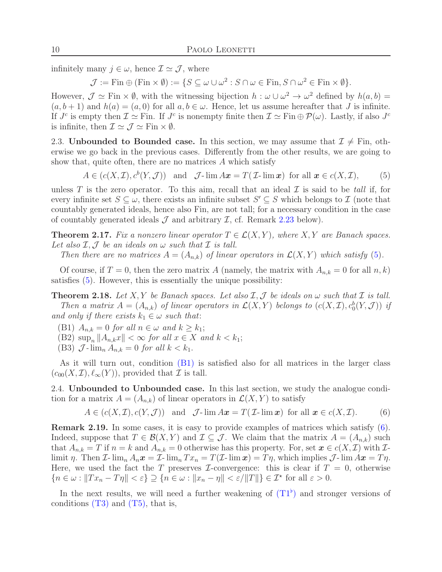infinitely many  $j \in \omega$ , hence  $\mathcal{I} \simeq \mathcal{J}$ , where

 $\mathcal{J} := \text{Fin} \oplus (\text{Fin} \times \emptyset) := \{ S \subseteq \omega \cup \omega^2 : S \cap \omega \in \text{Fin}, S \cap \omega^2 \in \text{Fin} \times \emptyset \}.$ 

However,  $\mathcal{J} \simeq \text{Fin} \times \emptyset$ , with the witnessing bijection  $h : \omega \cup \omega^2 \to \omega^2$  defined by  $h(a, b) =$  $(a, b + 1)$  and  $h(a) = (a, 0)$  for all  $a, b \in \omega$ . Hence, let us assume hereafter that J is infinite. If  $J^c$  is empty then  $\mathcal{I} \simeq \text{Fin}$ . If  $J^c$  is nonempty finite then  $\mathcal{I} \simeq \text{Fin} \oplus \mathcal{P}(\omega)$ . Lastly, if also  $J^c$ is infinite, then  $\mathcal{I} \simeq \mathcal{J} \simeq \text{Fin} \times \emptyset$ .

2.3. Unbounded to Bounded case. In this section, we may assume that  $\mathcal{I} \neq \mathrm{Fin}$ , otherwise we go back in the previous cases. Differently from the other results, we are going to show that, quite often, there are no matrices  $A$  which satisfy

<span id="page-9-1"></span> $A \in (c(X, \mathcal{I}), c^b(Y, \mathcal{J}))$  and  $\mathcal{J}\text{-}\lim Ax = T(\mathcal{I}\text{-}\lim x)$  for all  $x \in c(X, \mathcal{I}),$  (5)

unless  $T$  is the zero operator. To this aim, recall that an ideal  $\mathcal I$  is said to be *tall* if, for every infinite set  $S \subseteq \omega$ , there exists an infinite subset  $S' \subseteq S$  which belongs to  $\mathcal I$  (note that countably generated ideals, hence also Fin, are not tall; for a necessary condition in the case of countably generated ideals  $\mathcal J$  and arbitrary  $\mathcal I$ , cf. Remark [2.23](#page-10-0) below).

<span id="page-9-4"></span>**Theorem 2.17.** *Fix a nonzero linear operator*  $T \in \mathcal{L}(X, Y)$ *, where* X, Y are Banach spaces. Let also  $I, J$  be an ideals on  $\omega$  such that  $I$  is tall.

*Then there are no matrices*  $A = (A_{n,k})$  *of linear operators in*  $\mathcal{L}(X, Y)$  *which satisfy* [\(5\)](#page-9-1).

Of course, if  $T = 0$ , then the zero matrix A (namely, the matrix with  $A_{n,k} = 0$  for all  $n, k$ ) satisfies [\(5\)](#page-9-1). However, this is essentially the unique possibility:

<span id="page-9-0"></span>**Theorem 2.18.** Let X, Y be Banach spaces. Let also  $I, J$  be ideals on  $\omega$  such that  $I$  is tall. *Then a matrix*  $A = (A_{n,k})$  *of linear operators in*  $\mathcal{L}(X, Y)$  *belongs to*  $(c(X, \mathcal{I}), c_0^b(Y, \mathcal{J}))$  *if and only if there exists*  $k_1 \in \omega$  *such that:* 

<span id="page-9-2"></span>(B1)  $A_{n,k} = 0$  *for all*  $n \in \omega$  *and*  $k \geq k_1$ ;

(B2)  $\sup_n ||A_{n,k}x|| < \infty$  *for all*  $x \in X$  *and*  $k < k_1$ ;

(B3)  $\mathcal{J}$ - $\lim_{n} A_{n,k} = 0$  *for all*  $k < k_1$ .

As it will turn out, condition (B[1\)](#page-9-2) is satisfied also for all matrices in the larger class  $(c_{00}(X,\mathcal{I}), \ell_{\infty}(Y))$ , provided that  $\mathcal{I}$  is tall.

2.4. Unbounded to Unbounded case. In this last section, we study the analogue condition for a matrix  $A = (A_{n,k})$  of linear operators in  $\mathcal{L}(X, Y)$  to satisfy

<span id="page-9-3"></span>
$$
A \in (c(X, \mathcal{I}), c(Y, \mathcal{J})) \quad \text{and} \quad \mathcal{J}\text{-}\lim A\mathbf{x} = T(\mathcal{I}\text{-}\lim \mathbf{x}) \quad \text{for all } \mathbf{x} \in c(X, \mathcal{I}). \tag{6}
$$

Remark 2.19. In some cases, it is easy to provide examples of matrices which satisfy [\(6\)](#page-9-3). Indeed, suppose that  $T \in \mathcal{B}(X, Y)$  and  $\mathcal{I} \subseteq \mathcal{J}$ . We claim that the matrix  $A = (A_{n,k})$  such that  $A_{n,k} = T$  if  $n = k$  and  $A_{n,k} = 0$  otherwise has this property. For, set  $\mathbf{x} \in c(X, \mathcal{I})$  with  $\mathcal{I}$ limit  $\eta$ . Then *I*- lim<sub>n</sub>  $A_n x = I$ - lim<sub>n</sub>  $Tx_n = T(I)$ - lim  $x = T\eta$ , which implies *J*- lim  $Ax = T\eta$ . Here, we used the fact the T preserves *I*-convergence: this is clear if  $T = 0$ , otherwise  ${n \in \omega : ||Tx_n - T\eta|| < \varepsilon} \supseteq {n \in \omega : ||x_n - \eta|| < \varepsilon}/||T||} \in \mathcal{I}^{\star}$  for all  $\varepsilon > 0$ .

In the next results, we will need a further weakening of  $(T1<sup>b</sup>)$  $(T1<sup>b</sup>)$  $(T1<sup>b</sup>)$  and stronger versions of conditions  $(T3)$  $(T3)$  and  $(T5)$ , that is,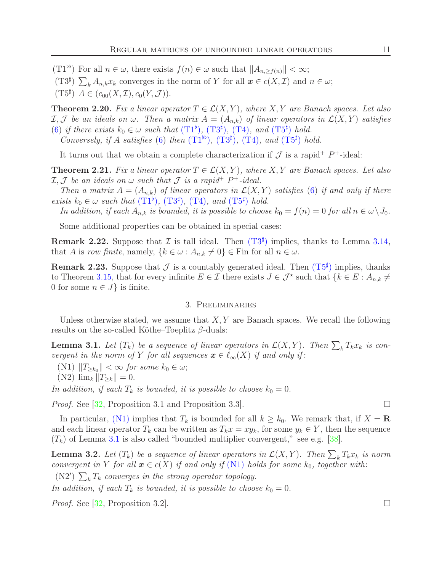<span id="page-10-3"></span><span id="page-10-1"></span> $(T1^{\flat})$  For all  $n \in \omega$ , there exists  $f(n) \in \omega$  such that  $||A_{n,\geq f(n)}|| < \infty$ ;

<span id="page-10-2"></span>(T3<sup>#</sup>)  $\sum_{k} A_{n,k} x_{k}$  converges in the norm of Y for all  $\boldsymbol{x} \in c(X, \mathcal{I})$  and  $n \in \omega$ ;

 $(T5^{\sharp})$   $A \in (c_{00}(X, \mathcal{I}), c_0(Y, \mathcal{J})).$ 

<span id="page-10-8"></span>**Theorem 2.20.** Fix a linear operator  $T \in \mathcal{L}(X, Y)$ , where  $X, Y$  are Banach spaces. Let also  $I, J$  *be an ideals on*  $\omega$ . Then a matrix  $A = (A_{n,k})$  of linear operators in  $\mathcal{L}(X, Y)$  satisfies [\(6\)](#page-9-3) if there exists  $k_0 \in \omega$  such that  $(T1^{\flat})$  $(T1^{\flat})$  $(T1^{\flat})$ ,  $(T3^{\sharp})$ ,  $(T4)$  $(T4)$ *, and*  $(T5^{\sharp})$  hold.

*Conversely, if* A *satisfies* [\(6\)](#page-9-3) *then*  $(T1^{\flat})$  $(T1^{\flat})$  $(T1^{\flat})$ *,*  $(T3^{\sharp})$ *,*  $(T4)$  $(T4)$ *, and*  $(T5^{\sharp})$  *hold.* 

It turns out that we obtain a complete characterization if  $\mathcal J$  is a rapid<sup>+</sup>  $P^+$ -ideal:

<span id="page-10-9"></span>**Theorem 2.21.** *Fix a linear operator*  $T \in \mathcal{L}(X, Y)$ *, where*  $X, Y$  *are Banach spaces. Let also*  $I, J$  *be an ideals on*  $\omega$  *such that*  $J$  *is a rapid*<sup>+</sup>  $P^+$ -*ideal.* 

*Then a matrix*  $A = (A_{n,k})$  *of linear operators in*  $\mathcal{L}(X, Y)$  *satisfies* [\(6\)](#page-9-3) *if and only if there exists*  $k_0 \in \omega$  *such that*  $(T1^{\flat})$  $(T1^{\flat})$  $(T1^{\flat})$ ,  $(T3^{\sharp})$ ,  $(T4)$  $(T4)$ *, and*  $(T5^{\sharp})$  *hold.* 

*In addition, if each*  $A_{n,k}$  *is bounded, it is possible to choose*  $k_0 = f(n) = 0$  *for all*  $n \in \omega \setminus J_0$ *.* 

Some additional properties can be obtained in special cases:

**Remark 2.22.** Suppose that  $\mathcal I$  is tall ideal. [T](#page-10-1)hen  $(T3^{\sharp})$  implies, thanks to Lemma [3.14,](#page-14-0) that A is *row finite*, namely,  $\{k \in \omega : A_{n,k} \neq 0\} \in \text{Fin}$  for all  $n \in \omega$ .

<span id="page-10-0"></span>**Remark 2.23.** Suppose that  $\mathcal{J}$  is a countably generated ideal. [T](#page-10-2)hen  $(T5^{\sharp})$  implies, thanks to Theorem [3.15,](#page-14-1) that for every infinite  $E \in \mathcal{I}$  there exists  $J \in \mathcal{J}^*$  such that  $\{k \in E : A_{n,k} \neq \emptyset\}$ 0 for some  $n \in J$  is finite.

#### 3. Preliminaries

Unless otherwise stated, we assume that  $X, Y$  are Banach spaces. We recall the following results on the so-called Köthe–Toeplitz β-duals:

<span id="page-10-5"></span>**Lemma 3.1.** Let  $(T_k)$  be a sequence of linear operators in  $\mathcal{L}(X,Y)$ . Then  $\sum_k T_k x_k$  is con*vergent in the norm of* Y *for all sequences*  $\mathbf{x} \in \ell_{\infty}(X)$  *if and only if*:

<span id="page-10-7"></span><span id="page-10-4"></span>(N1)  $||T_{\geq k_0}|| < \infty$  *for some*  $k_0 \in \omega$ ;

$$
(\text{N2}) \lim_{k} \|T_{\geq k}\| = 0.
$$

In addition, if each  $T_k$  is bounded, it is possible to choose  $k_0 = 0$ .

*Proof.* See  $\left|32\right|$ , Proposition 3.1 and Proposition 3.3.

In particular, (N[1\)](#page-10-4) implies that  $T_k$  is bounded for all  $k \geq k_0$ . We remark that, if  $X = \mathbf{R}$ and each linear operator  $T_k$  can be written as  $T_k x = xy_k$ , for some  $y_k \in Y$ , then the sequence  $(T_k)$  of Lemma [3.1](#page-10-5) is also called "bounded multiplier convergent," see e.g. [\[38\]](#page-24-19).

<span id="page-10-6"></span>**Lemma 3.2.** Let  $(T_k)$  be a sequence of linear operators in  $\mathcal{L}(X,Y)$ . Then  $\sum_k T_k x_k$  is norm *convergent in* Y *for all*  $\mathbf{x} \in c(X)$  *if and only if* (N[1\)](#page-10-4) *holds for some*  $k_0$ *, together with:* 

(N2')  $\sum_{k} T_k$  *converges in the strong operator topology.* 

*In addition, if each*  $T_k$  *is bounded, it is possible to choose*  $k_0 = 0$ *.* 

*Proof.* See [\[32,](#page-24-8) Proposition 3.2].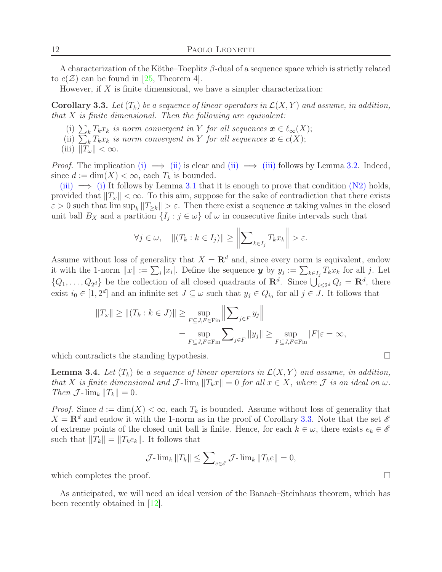A characterization of the Köthe–Toeplitz  $\beta$ -dual of a sequence space which is strictly related to  $c(\mathcal{Z})$  can be found in [\[25,](#page-24-20) Theorem 4].

However, if  $X$  is finite dimensional, we have a simpler characterization:

<span id="page-11-4"></span><span id="page-11-1"></span>**Corollary 3.3.** Let  $(T_k)$  be a sequence of linear operators in  $\mathcal{L}(X, Y)$  and assume, in addition, *that* X *is finite dimensional. Then the following are equivalent:*

- <span id="page-11-2"></span>(i)  $\sum_{k} T_{k}x_{k}$  *is norm convergent in* Y *for all sequences*  $\boldsymbol{x} \in \ell_{\infty}(X);$
- <span id="page-11-3"></span>(ii)  $\sum_{k} T_{k}x_{k}$  *is norm convergent in* Y *for all sequences*  $\boldsymbol{x} \in c(X);$
- (iii)  $||T_{\omega}|| < \infty$ .

*Proof.* The implication [\(i\)](#page-11-1)  $\implies$  [\(ii\)](#page-11-2) is clear and (ii)  $\implies$  [\(iii\)](#page-11-3) follows by Lemma [3.2.](#page-10-6) Indeed, since  $d := \dim(X) < \infty$ , each  $T_k$  is bounded.

[\(iii\)](#page-11-3)  $\implies$  [\(i\)](#page-11-1) It follows by Lemma [3.1](#page-10-5) that it is enough to prove that condition (N[2\)](#page-10-7) holds, provided that  $||T_{\omega}|| < \infty$ . To this aim, suppose for the sake of contradiction that there exists  $\varepsilon > 0$  such that  $\limsup_k ||T_{\geq k}|| > \varepsilon$ . Then there exist a sequence x taking values in the closed unit ball  $B_X$  and a partition  $\{I_j : j \in \omega\}$  of  $\omega$  in consecutive finite intervals such that

$$
\forall j \in \omega, \quad ||(T_k : k \in I_j)|| \ge \left\| \sum_{k \in I_j} T_k x_k \right\| > \varepsilon.
$$

Assume without loss of generality that  $X = \mathbb{R}^d$  and, since every norm is equivalent, endow it with the 1-norm  $||x|| := \sum_i |x_i|$ . Define the sequence  $y$  by  $y_j := \sum_{k \in I_j} T_k x_k$  for all j. Let  $\{Q_1,\ldots,Q_{2^d}\}\$ be the collection of all closed quadrants of  $\mathbf{R}^d$ . Since  $\bigcup_{i\leq 2^d}^{\infty} Q_i = \mathbf{R}^d$ , there exist  $i_0 \in [1, 2^d]$  and an infinite set  $J \subseteq \omega$  such that  $y_j \in Q_{i_0}$  for all  $j \in J$ . It follows that

$$
||T_{\omega}|| \ge ||(T_k : k \in J)|| \ge \sup_{F \subseteq J, F \in \text{Fin}} \left\| \sum_{j \in F} y_j \right\|
$$
  
= 
$$
\sup_{F \subseteq J, F \in \text{Fin}} \sum_{j \in F} ||y_j|| \ge \sup_{F \subseteq J, F \in \text{Fin}} |F|\varepsilon = \infty,
$$

which contradicts the standing hypothesis.  $\Box$ 

<span id="page-11-0"></span>**Lemma 3.4.** Let  $(T_k)$  be a sequence of linear operators in  $\mathcal{L}(X, Y)$  and assume, in addition, *that* X *is finite dimensional and*  $\mathcal{J}$ - $\lim_k ||T_kx|| = 0$  *for all*  $x \in X$ *, where*  $\mathcal{J}$  *is an ideal on*  $\omega$ *. Then*  $\mathcal{J}$ -lim<sub>k</sub>  $||T_k|| = 0$ .

*Proof.* Since  $d := \dim(X) < \infty$ , each  $T_k$  is bounded. Assume without loss of generality that  $X = \mathbf{R}^d$  and endow it with the 1-norm as in the proof of Corollary [3.3.](#page-11-4) Note that the set  $\mathscr E$ of extreme points of the closed unit ball is finite. Hence, for each  $k \in \omega$ , there exists  $e_k \in \mathscr{E}$ such that  $||T_k|| = ||T_k e_k||$ . It follows that

$$
\mathcal{J}\text{-}\lim_{k} \|T_{k}\| \leq \sum_{e \in \mathscr{E}} \mathcal{J}\text{-}\lim_{k} \|T_{k}e\| = 0,
$$

which completes the proof.  $\Box$ 

As anticipated, we will need an ideal version of the Banach–Steinhaus theorem, which has been recently obtained in  $|12|$ .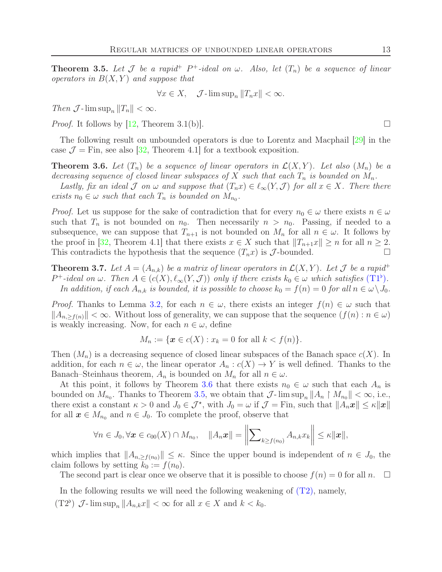<span id="page-12-0"></span>**Theorem 3.5.** Let  $\mathcal J$  be a rapid<sup>+</sup>  $P^+$ -ideal on  $\omega$ . Also, let  $(T_n)$  be a sequence of linear *operators in*  $B(X, Y)$  *and suppose that* 

$$
\forall x \in X, \quad \mathcal{J}\text{-}\limsup_n \|T_n x\| < \infty.
$$

*Then*  $\mathcal{J}$ -lim  $\sup_n ||T_n|| < \infty$ .

*Proof.* It follows by [\[12,](#page-23-10) Theorem 3.1(b)].

The following result on unbounded operators is due to Lorentz and Macphail [\[29\]](#page-24-21) in the case  $\mathcal{J} =$  Fin, see also [\[32,](#page-24-8) Theorem 4.1] for a textbook exposition.

<span id="page-12-1"></span>**Theorem 3.6.** Let  $(T_n)$  be a sequence of linear operators in  $\mathcal{L}(X, Y)$ . Let also  $(M_n)$  be a *decreasing sequence of closed linear subspaces of* X *such that each*  $T_n$  *is bounded on*  $M_n$ .

*Lastly, fix an ideal*  $\mathcal J$  *on*  $\omega$  *and suppose that*  $(T_n x) \in \ell_\infty(Y, \mathcal J)$  *for all*  $x \in X$ *. There there exists*  $n_0 \in \omega$  *such that each*  $T_n$  *is bounded on*  $M_{n_0}$ *.* 

*Proof.* Let us suppose for the sake of contradiction that for every  $n_0 \in \omega$  there exists  $n \in \omega$ such that  $T_n$  is not bounded on  $n_0$ . Then necessarily  $n > n_0$ . Passing, if needed to a subsequence, we can suppose that  $T_{n+1}$  is not bounded on  $M_n$  for all  $n \in \omega$ . It follows by the proof in [\[32,](#page-24-8) Theorem 4.1] that there exists  $x \in X$  such that  $||T_{n+1}x|| \geq n$  for all  $n \geq 2$ . This contradicts the hypothesis that the sequence  $(T_n x)$  is  $\mathcal J$ -bounded.

<span id="page-12-3"></span>**Theorem 3.7.** Let  $A = (A_{n,k})$  be a matrix of linear operators in  $\mathcal{L}(X, Y)$ . Let  $\mathcal J$  be a rapid<sup>+</sup>  $P^+$ -ideal on  $\omega$ . [T](#page-7-2)hen  $A \in (c(X), \ell_\infty(Y, \mathcal{J}))$  only if there exists  $k_0 \in \omega$  which satisfies  $(T1^{\flat})$ . *In addition, if each*  $A_{n,k}$  *is bounded, it is possible to choose*  $k_0 = f(n) = 0$  *for all*  $n \in \omega \setminus J_0$ *.* 

*Proof.* Thanks to Lemma [3.2,](#page-10-6) for each  $n \in \omega$ , there exists an integer  $f(n) \in \omega$  such that  $||A_{n,\geq f(n)}|| < \infty$ . Without loss of generality, we can suppose that the sequence  $(f(n): n \in \omega)$ is weakly increasing. Now, for each  $n \in \omega$ , define

$$
M_n := \{ \mathbf{x} \in c(X) : x_k = 0 \text{ for all } k < f(n) \}.
$$

Then  $(M_n)$  is a decreasing sequence of closed linear subspaces of the Banach space  $c(X)$ . In addition, for each  $n \in \omega$ , the linear operator  $A_n : c(X) \to Y$  is well defined. Thanks to the Banach–Steinhaus theorem,  $A_n$  is bounded on  $M_n$  for all  $n \in \omega$ .

At this point, it follows by Theorem [3.6](#page-12-1) that there exists  $n_0 \in \omega$  such that each  $A_n$  is bounded on  $M_{n_0}$ . Thanks to Theorem [3.5,](#page-12-0) we obtain that  $\mathcal{J}$ - $\limsup_n ||A_n \restriction M_{n_0}|| < \infty$ , i.e., there exist a constant  $\kappa > 0$  and  $J_0 \in \mathcal{J}^*$ , with  $J_0 = \omega$  if  $\mathcal{J} = \text{Fin}$ , such that  $||A_n x|| \leq \kappa ||x||$ for all  $x \in M_{n_0}$  and  $n \in J_0$ . To complete the proof, observe that

$$
\forall n \in J_0, \forall \boldsymbol{x} \in c_{00}(X) \cap M_{n_0}, \quad \|A_n \boldsymbol{x}\| = \left\| \sum_{k \ge f(n_0)} A_{n,k} x_k \right\| \le \kappa \|\boldsymbol{x}\|,
$$

which implies that  $||A_{n,\geq f(n_0)}|| \leq \kappa$ . Since the upper bound is independent of  $n \in J_0$ , the claim follows by setting  $k_0 := f(n_0)$ .

The second part is clear once we observe that it is possible to choose  $f(n) = 0$  for all n.  $\square$ 

<span id="page-12-2"></span>In the following results we will need the following weakening of  $(T2)$ , namely,

(T2<sup>b</sup>)  $\mathcal{J}\text{-}\limsup_n ||A_{n,k}x|| < \infty$  for all  $x \in X$  and  $k < k_0$ .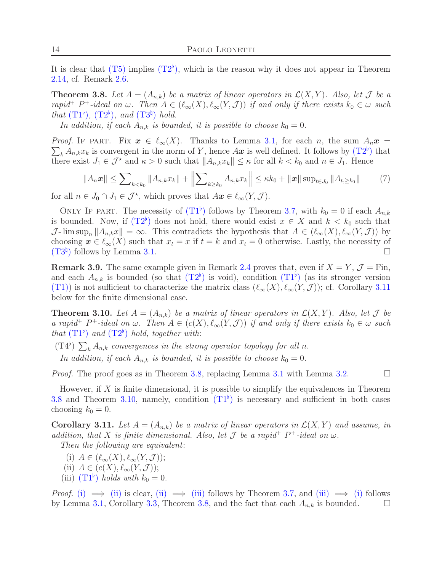It is clear that  $(T5)$  $(T5)$  implies  $(T2^{\flat})$  $(T2^{\flat})$  $(T2^{\flat})$ , which is the reason why it does not appear in Theorem [2.14,](#page-7-0) cf. Remark [2.6.](#page-4-7)

<span id="page-13-0"></span>**Theorem 3.8.** Let  $A = (A_{n,k})$  be a matrix of linear operators in  $\mathcal{L}(X, Y)$ . Also, let  $\mathcal{J}$  be a *rapid*<sup>+</sup>  $P^+$ -ideal on  $\omega$ . Then  $A \in (\ell_{\infty}(X), \ell_{\infty}(Y, \mathcal{J}))$  if and only if there exists  $k_0 \in \omega$  such *that*  $(T1^{\flat})$  $(T1^{\flat})$  $(T1^{\flat})$ *,*  $(T2^{\flat})$ *, and*  $(T3^{\natural})$  *hold.* 

*In addition, if each*  $A_{n,k}$  *is bounded, it is possible to choose*  $k_0 = 0$ *.* 

 $\sum_{k} A_{n,k} x_k$  is convergent in the norm of Y, hence  $A\boldsymbol{x}$  is well defined. It follows by  $(T2^{\flat})$  $(T2^{\flat})$  $(T2^{\flat})$  that *Proof.* IF PART. Fix  $x \in \ell_{\infty}(X)$ . Thanks to Lemma [3.1,](#page-10-5) for each n, the sum  $A_n x =$ there exist  $J_1 \in \mathcal{J}^*$  and  $\kappa > 0$  such that  $||A_{n,k}x_k|| \leq \kappa$  for all  $k < k_0$  and  $n \in J_1$ . Hence

<span id="page-13-6"></span>
$$
||A_n\boldsymbol{x}|| \leq \sum_{k < k_0} ||A_{n,k}x_k|| + \left\|\sum_{k \geq k_0} A_{n,k}x_k\right\| \leq \kappa k_0 + \|\boldsymbol{x}\| \sup_{t \in J_0} \|A_{t,\geq k_0}\| \tag{7}
$$

for all  $n \in J_0 \cap J_1 \in \mathcal{J}^*$ , which proves that  $Ax \in \ell_{\infty}(Y, \mathcal{J})$ .

ONLY IF PAR[T](#page-7-2). The necessity of  $(T1^{\flat})$  follows by Theorem [3.7,](#page-12-3) with  $k_0 = 0$  if each  $A_{n,k}$ is bounded. Now, if  $(T2^{\flat})$  $(T2^{\flat})$  $(T2^{\flat})$  does not hold, there would exist  $x \in X$  and  $k < k_0$  such that  $\mathcal{J}$ - lim sup<sub>n</sub>  $||A_{n,k}x|| = \infty$ . This contradicts the hypothesis that  $A \in (\ell_{\infty}(X), \ell_{\infty}(Y, \mathcal{J}))$  by choosing  $x \in \ell_{\infty}(X)$  such that  $x_t = x$  if  $t = k$  and  $x_t = 0$  otherwise. Lastly, the necessity of  $(T3^{\natural})$  $(T3^{\natural})$  $(T3^{\natural})$  follows by Lemma [3.1.](#page-10-5)

<span id="page-13-7"></span>**Remark 3.9.** The same example given in Remark [2.4](#page-3-6) proves that, even if  $X = Y$ ,  $\mathcal{J} = \text{Fin}$ , and each  $A_{n,k}$  is bounded (so that  $(T2^{\flat})$  $(T2^{\flat})$  $(T2^{\flat})$  is void), condition  $(T1^{\flat})$  (as its stronger version (T[1\)\)](#page-4-5) is not sufficient to characterize the matrix class  $(\ell_{\infty}(X), \ell_{\infty}(Y, \mathcal{J}))$ ; cf. Corollary [3.11](#page-13-2) below for the finite dimensional case.

<span id="page-13-1"></span>**Theorem 3.10.** Let  $A = (A_{n,k})$  be a matrix of linear operators in  $\mathcal{L}(X, Y)$ . Also, let  $\mathcal{J}$  be *a rapid*<sup>+</sup>  $P^+$ -ideal on  $\omega$ . Then  $A \in (c(X), \ell_\infty(Y, \mathcal{J}))$  if and only if there exists  $k_0 \in \omega$  such *that*  $(T1^{\flat})$  $(T1^{\flat})$  $(T1^{\flat})$  *and*  $(T2^{\flat})$  *hold, together with:* 

 $(T4^{\flat}) \sum_{k} A_{n,k}$  convergences in the strong operator topology for all n.

*In addition, if each*  $A_{n,k}$  *is bounded, it is possible to choose*  $k_0 = 0$ *.* 

*Proof.* The proof goes as in Theorem [3.8,](#page-13-0) replacing Lemma [3.1](#page-10-5) with Lemma [3.2.](#page-10-6)

However, if  $X$  is finite dimensional, it is possible to simplify the equivalences in Theorem [3.8](#page-13-0) and Theorem [3.10,](#page-13-1) namely, condition  $(T1^{\flat})$  $(T1^{\flat})$  $(T1^{\flat})$  is necessary and sufficient in both cases choosing  $k_0 = 0$ .

<span id="page-13-2"></span>**Corollary 3.11.** Let  $A = (A_{n,k})$  be a matrix of linear operators in  $\mathcal{L}(X, Y)$  and assume, in *addition, that* X *is finite dimensional. Also, let*  $\mathcal{J}$  *be a rapid*<sup>+</sup>  $P^+$ -ideal on  $\omega$ .

<span id="page-13-3"></span>*Then the following are equivalent*:

- <span id="page-13-4"></span>(i)  $A \in (\ell_{\infty}(X), \ell_{\infty}(Y, \mathcal{J}));$
- <span id="page-13-5"></span>(ii)  $A \in (c(X), \ell_{\infty}(Y, \mathcal{J}))$ ;
- (iii)  $(T1^{\flat})$  $(T1^{\flat})$  $(T1^{\flat})$  *holds with*  $k_0 = 0$ .

*Proof.* [\(i\)](#page-13-3)  $\implies$  [\(ii\)](#page-13-4) is clear, (ii)  $\implies$  [\(iii\)](#page-13-5) follows by Theorem [3.7,](#page-12-3) and (iii)  $\implies$  (i) follows by Lemma [3.1,](#page-10-5) Corollary [3.3,](#page-11-4) Theorem [3.8,](#page-13-0) and the fact that each  $A_{n,k}$  is bounded.  $\square$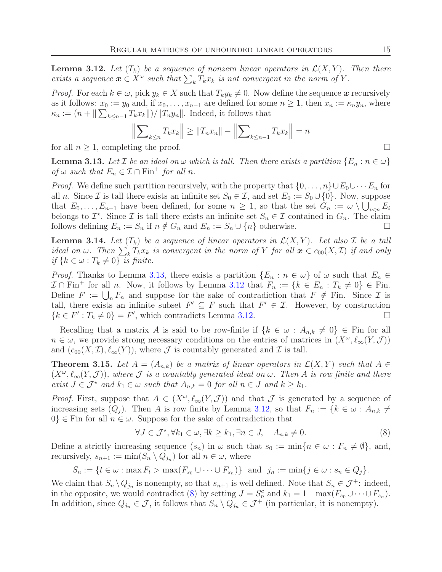<span id="page-14-3"></span>**Lemma 3.12.** Let  $(T_k)$  be a sequence of nonzero linear operators in  $\mathcal{L}(X, Y)$ . Then there *exists a sequence*  $\mathbf{x} \in X^{\omega}$  *such that*  $\sum_{k} T_{k}x_{k}$  *is not convergent in the norm of* Y.

*Proof.* For each  $k \in \omega$ , pick  $y_k \in X$  such that  $T_k y_k \neq 0$ . Now define the sequence x recursively as it follows:  $x_0 := y_0$  and, if  $x_0, \ldots, x_{n-1}$  are defined for some  $n \geq 1$ , then  $x_n := \kappa_n y_n$ , where  $\kappa_n := (n + \|\sum_{k \leq n-1} T_k x_k\|)/\|T_n y_n\|$ . Indeed, it follows that

$$
\left\| \sum_{k \le n} T_k x_k \right\| \ge \|T_n x_n\| - \left\| \sum_{k \le n-1} T_k x_k \right\| = n
$$

for all  $n \geq 1$ , completing the proof.

<span id="page-14-2"></span>**Lemma 3.13.** Let  $\mathcal{I}$  be an ideal on  $\omega$  which is tall. Then there exists a partition  $\{E_n : n \in \omega\}$ *of*  $\omega$  *such that*  $E_n \in \mathcal{I} \cap \text{Fin}^+$  *for all n.* 

*Proof.* We define such partition recursively, with the property that  $\{0, \ldots, n\} \cup E_0 \cup \cdots E_n$  for all n. Since  $\mathcal I$  is tall there exists an infinite set  $S_0 \in \mathcal I$ , and set  $E_0 := S_0 \cup \{0\}$ . Now, suppose that  $E_0, \ldots, E_{n-1}$  have been defined, for some  $n \geq 1$ , so that the set  $G_n := \omega \setminus \bigcup_{i \leq n} E_i$ belongs to  $\mathcal{I}^*$ . Since  $\mathcal{I}$  is tall there exists an infinite set  $S_n \in \mathcal{I}$  contained in  $G_n$ . The claim follows defining  $E_n := S_n$  if  $n \notin G_n$  and  $E_n := S_n \cup \{n\}$  otherwise.

<span id="page-14-0"></span>**Lemma 3.14.** Let  $(T_k)$  be a sequence of linear operators in  $\mathcal{L}(X, Y)$ . Let also  $\mathcal I$  be a tall *ideal on*  $\omega$ . Then  $\sum_{k} T_k x_k$  *is convergent in the norm of* Y *for all*  $x \in c_{00}(X, \mathcal{I})$  *if and only if*  $\{k \in \omega : T_k \neq 0\}$  *is finite.* 

*Proof.* Thanks to Lemma [3.13,](#page-14-2) there exists a partition  $\{E_n : n \in \omega\}$  of  $\omega$  such that  $E_n \in$  $\mathcal{I} \cap \text{Fin}^+$  for all n. Now, it follows by Lemma [3.12](#page-14-3) that  $F_n := \{k \in E_n : T_k \neq 0\} \in \text{Fin}$ . Define  $F := \bigcup_n F_n$  and suppose for the sake of contradiction that  $F \notin \mathbb{F}$ in. Since  $\mathcal I$  is tall, there exists an infinite subset  $F' \subseteq F$  such that  $F' \in \mathcal{I}$ . However, by construction  ${k \in F' : T_k \neq 0} = F'$ , which contradicts Lemma [3.12.](#page-14-3)

Recalling that a matrix A is said to be row-finite if  $\{k \in \omega : A_{n,k} \neq 0\} \in \mathbb{F}$  in for all  $n \in \omega$ , we provide strong necessary conditions on the entries of matrices in  $(X^{\omega}, \ell_{\infty}(Y, \mathcal{J}))$ and  $(c_{00}(X,\mathcal{I}), \ell_{\infty}(Y))$ , where  $\mathcal J$  is countably generated and  $\mathcal I$  is tall.

<span id="page-14-1"></span>**Theorem 3.15.** Let  $A = (A_{n,k})$  be a matrix of linear operators in  $\mathcal{L}(X, Y)$  such that  $A \in$  $(X^{\omega}, \ell_{\infty}(Y, \mathcal{J}))$ , where  $\mathcal J$  *is a countably generated ideal on*  $\omega$ *. Then* A *is row finite and there exist*  $J \in \mathcal{J}^*$  *and*  $k_1 \in \omega$  *such that*  $A_{n,k} = 0$  *for all*  $n \in J$  *and*  $k \geq k_1$ *.* 

*Proof.* First, suppose that  $A \in (X^{\omega}, \ell_{\infty}(Y, \mathcal{J}))$  and that  $\mathcal J$  is generated by a sequence of increasing sets  $(Q_i)$ . Then A is row finite by Lemma [3.12,](#page-14-3) so that  $F_n := \{k \in \omega : A_{n,k} \neq \emptyset\}$  $0\} \in \text{Fin}$  for all  $n \in \omega$ . Suppose for the sake of contradiction that

<span id="page-14-4"></span>
$$
\forall J \in \mathcal{J}^{\star}, \forall k_1 \in \omega, \exists k \ge k_1, \exists n \in J, \quad A_{n,k} \neq 0. \tag{8}
$$

Define a strictly increasing sequence  $(s_n)$  in  $\omega$  such that  $s_0 := \min\{n \in \omega : F_n \neq \emptyset\}$ , and, recursively,  $s_{n+1} := \min(S_n \setminus Q_{j_n})$  for all  $n \in \omega$ , where

$$
S_n := \{ t \in \omega : \max F_t > \max(F_{s_0} \cup \dots \cup F_{s_n}) \} \text{ and } j_n := \min \{ j \in \omega : s_n \in Q_j \}.
$$

We claim that  $S_n \setminus Q_{j_n}$  is nonempty, so that  $s_{n+1}$  is well defined. Note that  $S_n \in \mathcal{J}^+$ : indeed, in the opposite, we would contradict [\(8\)](#page-14-4) by setting  $J = S_n^c$  and  $k_1 = 1 + \max(F_{s_0} \cup \cdots \cup F_{s_n}).$ In addition, since  $Q_{j_n} \in \mathcal{J}$ , it follows that  $S_n \setminus Q_{j_n} \in \mathcal{J}^+$  (in particular, it is nonempty).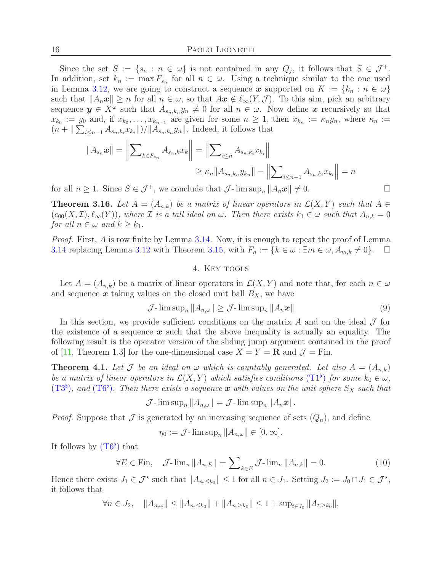Since the set  $S := \{s_n : n \in \omega\}$  is not contained in any  $Q_j$ , it follows that  $S \in \mathcal{J}^+$ . In addition, set  $k_n := \max F_{s_n}$  for all  $n \in \omega$ . Using a technique similar to the one used in Lemma [3.12,](#page-14-3) we are going to construct a sequence x supported on  $K := \{k_n : n \in \omega\}$ such that  $||A_n\mathbf{x}|| \geq n$  for all  $n \in \omega$ , so that  $A\mathbf{x} \notin \ell_\infty(Y, \mathcal{J})$ . To this aim, pick an arbitrary sequence  $y \in X^{\omega}$  such that  $A_{s_n,k_n} y_n \neq 0$  for all  $n \in \omega$ . Now define x recursively so that  $x_{k_0} := y_0$  and, if  $x_{k_0}, \ldots, x_{k_{n-1}}$  are given for some  $n \geq 1$ , then  $x_{k_n} := \kappa_n y_n$ , where  $\kappa_n :=$  $(n + \|\sum_{i \leq n-1} A_{s_n,k_i} x_{k_i}\|)/\|A_{s_n,k_n} y_n\|$ . Indeed, it follows that

$$
||A_{s_n} \mathbf{x}|| = \left\| \sum_{k \in F_{s_n}} A_{s_n,k} x_k \right\| = \left\| \sum_{i \le n} A_{s_n,k_i} x_{k_i} \right\|
$$
  

$$
\ge \kappa_n ||A_{s_n,k_n} y_{k_n}|| - \left\| \sum_{i \le n-1} A_{s_n,k_i} x_{k_i} \right\| = n
$$

for all  $n \geq 1$ . Since  $S \in \mathcal{J}^+$ , we conclude that  $\mathcal{J}$ -lim sup<sub>n</sub>  $||A_n \mathbf{x}|| \neq 0$ .

<span id="page-15-3"></span>**Theorem 3.16.** Let  $A = (A_{n,k})$  be a matrix of linear operators in  $\mathcal{L}(X, Y)$  such that  $A \in$  $(c_{00}(X,\mathcal{I}),\ell_{\infty}(Y))$ , where  $\mathcal I$  *is a tall ideal on*  $\omega$ . Then there exists  $k_1 \in \omega$  such that  $A_{n,k} = 0$ *for all*  $n \in \omega$  *and*  $k \geq k_1$ *.* 

*Proof.* First, A is row finite by Lemma [3.14.](#page-14-0) Now, it is enough to repeat the proof of Lemma [3.14](#page-14-0) replacing Lemma [3.12](#page-14-3) with Theorem [3.15,](#page-14-1) with  $F_n := \{k \in \omega : \exists m \in \omega, A_{m,k} \neq 0\}.$ 

### 4. Key tools

Let  $A = (A_{n,k})$  be a matrix of linear operators in  $\mathcal{L}(X, Y)$  and note that, for each  $n \in \omega$ and sequence  $x$  taking values on the closed unit ball  $B_X$ , we have

<span id="page-15-0"></span>
$$
\mathcal{J}\text{-}\limsup_{n} \|A_{n,\omega}\| \ge \mathcal{J}\text{-}\limsup_{n} \|A_n \mathbf{x}\| \tag{9}
$$

In this section, we provide sufficient conditions on the matrix A and on the ideal  $\mathcal J$  for the existence of a sequence  $x$  such that the above inequality is actually an equality. The following result is the operator version of the sliding jump argument contained in the proof of [\[11,](#page-23-1) Theorem 1.3] for the one-dimensional case  $X = Y = \mathbf{R}$  and  $\mathcal{J} = \text{Fin}$ .

<span id="page-15-2"></span>**Theorem 4.1.** Let  $\mathcal J$  be an ideal on  $\omega$  which is countably generated. Let also  $A = (A_{n,k})$ *be a matrix of linear operators in*  $\mathcal{L}(X, Y)$  *which satisfies conditions*  $(T1^{\flat})$  $(T1^{\flat})$  $(T1^{\flat})$  *for some*  $k_0 \in \omega$ *,*  $(T3<sup>‡</sup>)$  $(T3<sup>‡</sup>)$  $(T3<sup>‡</sup>)$ *, and*  $(T6<sup>†</sup>)$ *. Then there exists a sequence* x *with values on the unit sphere*  $S_X$  *such that* 

$$
\mathcal{J}\text{-}\limsup_n ||A_{n,\omega}|| = \mathcal{J}\text{-}\limsup_n ||A_n\boldsymbol{x}||.
$$

*Proof.* Suppose that  $\mathcal J$  is generated by an increasing sequence of sets  $(Q_n)$ , and define

$$
\eta_0 := \mathcal{J}\text{-}\limsup_n \|A_{n,\omega}\| \in [0,\infty].
$$

It follows by  $(T6^{\flat})$  $(T6^{\flat})$  $(T6^{\flat})$  that

<span id="page-15-1"></span>
$$
\forall E \in \text{Fin}, \quad \mathcal{J}\text{-}\lim_{n} \|A_{n,E}\| = \sum_{k \in E} \mathcal{J}\text{-}\lim_{n} \|A_{n,k}\| = 0. \tag{10}
$$

Hence there exists  $J_1 \in \mathcal{J}^*$  such that  $||A_{n, \leq k_0}|| \leq 1$  for all  $n \in J_1$ . Setting  $J_2 := J_0 \cap J_1 \in \mathcal{J}^*$ , it follows that

$$
\forall n \in J_2, \quad \|A_{n,\omega}\| \le \|A_{n,\le k_0}\| + \|A_{n,\ge k_0}\| \le 1 + \sup_{t \in J_0} \|A_{t,\ge k_0}\|,
$$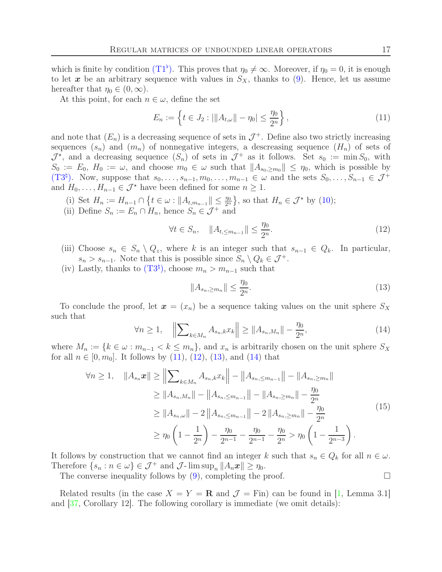which is finite by condition  $(T1^{\flat})$  $(T1^{\flat})$  $(T1^{\flat})$ . This proves that  $\eta_0 \neq \infty$ . Moreover, if  $\eta_0 = 0$ , it is enough to let  $x$  be an arbitrary sequence with values in  $S_X$ , thanks to [\(9\)](#page-15-0). Hence, let us assume hereafter that  $\eta_0 \in (0,\infty)$ .

At this point, for each  $n \in \omega$ , define the set

<span id="page-16-0"></span>
$$
E_n := \left\{ t \in J_2 : |||A_{t,\omega}|| - \eta_0| \le \frac{\eta_0}{2^n} \right\},\tag{11}
$$

and note that  $(E_n)$  is a decreasing sequence of sets in  $\mathcal{J}^+$ . Define also two strictly increasing sequences  $(s_n)$  and  $(m_n)$  of nonnegative integers, a descreasing sequence  $(H_n)$  of sets of  $\mathcal{J}^*$ , and a decreasing sequence  $(S_n)$  of sets in  $\mathcal{J}^+$  as it follows. Set  $s_0 := \min S_0$ , with  $S_0 := E_0$ ,  $H_0 := \omega$ , and choose  $m_0 \in \omega$  such that  $||A_{s_0, \geq m_0}|| \leq \eta_0$ , which is possible by  $(T3^{\natural})$  $(T3^{\natural})$  $(T3^{\natural})$ . Now, suppose that  $s_0, \ldots, s_{n-1}, m_0, \ldots, m_{n-1} \in \omega$  and the sets  $S_0, \ldots, S_{n-1} \in \mathcal{J}^+$ and  $H_0, \ldots, H_{n-1} \in \mathcal{J}^*$  have been defined for some  $n \geq 1$ .

- (i) Set  $H_n := H_{n-1} \cap \{t \in \omega : ||A_{t,m_{n-1}}|| \leq \frac{\eta_0}{2^n}\}\,$ , so that  $H_n \in \mathcal{J}^*$  by [\(10\)](#page-15-1);
- (ii) Define  $S_n := E_n \cap H_n$ , hence  $S_n \in \mathcal{J}^+$  and

<span id="page-16-1"></span>
$$
\forall t \in S_n, \quad \|A_{t,\leq m_{n-1}}\| \leq \frac{\eta_0}{2^n}.\tag{12}
$$

- (iii) Choose  $s_n \in S_n \setminus Q_z$ , where k is an integer such that  $s_{n-1} \in Q_k$ . In particular,  $s_n > s_{n-1}$ . Note that this is possible since  $S_n \setminus Q_k \in \mathcal{J}^+$ .
- (iv) Lastly, thanks to  $(T3^{\natural})$  $(T3^{\natural})$  $(T3^{\natural})$ , choose  $m_n > m_{n-1}$  such that

<span id="page-16-2"></span>
$$
||A_{s_n,\geq m_n}|| \leq \frac{\eta_0}{2^n}.\tag{13}
$$

To conclude the proof, let  $x = (x_n)$  be a sequence taking values on the unit sphere  $S_X$ such that

<span id="page-16-3"></span>
$$
\forall n \ge 1, \quad \left\| \sum_{k \in M_n} A_{s_n,k} x_k \right\| \ge \| A_{s_n,M_n} \| - \frac{\eta_0}{2^n},\tag{14}
$$

where  $M_n := \{k \in \omega : m_{n-1} < k \leq m_n\}$ , and  $x_n$  is arbitrarily chosen on the unit sphere  $S_X$ for all  $n \in [0, m_0]$ . It follows by [\(11\)](#page-16-0), [\(12\)](#page-16-1), [\(13\)](#page-16-2), and [\(14\)](#page-16-3) that

<span id="page-16-4"></span>
$$
\forall n \ge 1, \quad \|A_{s_n} \mathbf{x}\| \ge \left\| \sum_{k \in M_n} A_{s_n,k} x_k \right\| - \left\| A_{s_n, \le m_{n-1}} \right\| - \left\| A_{s_n, \ge m_n} \right\|
$$
  
\n
$$
\ge \|A_{s_n, M_n}\| - \left\| A_{s_n, \le m_{n-1}} \right\| - \left\| A_{s_n, \ge m_n} \right\| - \frac{\eta_0}{2^n}
$$
  
\n
$$
\ge \|A_{s_n, \omega}\| - 2 \left\| A_{s_n, \le m_{n-1}} \right\| - 2 \left\| A_{s_n, \ge m_n} \right\| - \frac{\eta_0}{2^n}
$$
  
\n
$$
\ge \eta_0 \left( 1 - \frac{1}{2^n} \right) - \frac{\eta_0}{2^{n-1}} - \frac{\eta_0}{2^{n-1}} - \frac{\eta_0}{2^n} > \eta_0 \left( 1 - \frac{1}{2^{n-3}} \right).
$$
\n(15)

It follows by construction that we cannot find an integer k such that  $s_n \in Q_k$  for all  $n \in \omega$ . Therefore  $\{s_n : n \in \omega\} \in \mathcal{J}^+$  and  $\mathcal{J}$ - $\limsup_n ||A_n x|| \geq \eta_0$ .

The converse inequality follows by  $(9)$ , completing the proof.  $\Box$ 

Related results (in the case  $X = Y = \mathbf{R}$  and  $\mathcal{J} = \text{Fin}$ ) can be found in [\[1,](#page-23-14) Lemma 3.1] and [\[37,](#page-24-22) Corollary 12]. The following corollary is immediate (we omit details):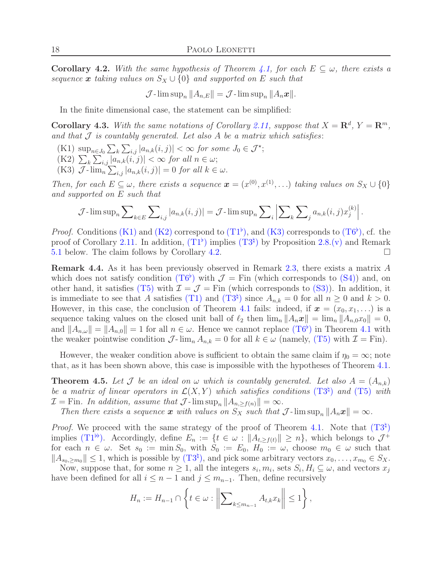<span id="page-17-3"></span>**Corollary 4.2.** With the same hypothesis of Theorem [4.1,](#page-15-2) for each  $E \subseteq \omega$ , there exists a *sequence* x *taking values on*  $S_X \cup \{0\}$  *and supported on* E *such that* 

$$
\mathcal{J}\text{-}\limsup_n ||A_{n,E}|| = \mathcal{J}\text{-}\limsup_n ||A_n\boldsymbol{x}||.
$$

In the finite dimensional case, the statement can be simplified:

Corollary 4.3. With the same notations of Corollary [2.11,](#page-6-2) suppose that  $X = \mathbb{R}^d$ ,  $Y = \mathbb{R}^m$ , *and that* J *is countably generated. Let also* A *be a matrix which satisfies*:

- <span id="page-17-1"></span><span id="page-17-0"></span> $(K1) \ \sup_{n \in J_0} \sum_k \sum_{i,j} |a_{n,k}(i,j)| < \infty \ for \ some \ J_0 \in \mathcal{J}^{\star};$
- <span id="page-17-2"></span> $(K2)$   $\sum_{k} \sum_{i,j} |a_{n,k}(i,j)| < \infty$  for all  $n \in \omega$ ;
- (K3)  $\mathcal{J}$ - $\lim_{n} \sum_{i,j} |a_{n,k}(i,j)| = 0$  *for all*  $k \in \omega$ .

*Then, for each*  $E \subseteq \omega$ *, there exists a sequence*  $\boldsymbol{x} = (x^{(0)}, x^{(1)}, \ldots)$  *taking values on*  $S_X \cup \{0\}$ *and supported on* E *such that*

$$
\mathcal{J}\text{-}\limsup_{n}\sum_{k\in E}\sum_{i,j}|a_{n,k}(i,j)| = \mathcal{J}\text{-}\limsup_{n}\sum_{i}\left|\sum_{k}\sum_{j}a_{n,k}(i,j)x_{j}^{(k)}\right|.
$$

*Proof.* Conditions (K[1\)](#page-17-0) and (K[2\)](#page-17-1) correspond to  $(T1^{\flat})$  $(T1^{\flat})$  $(T1^{\flat})$ , and (K[3\)](#page-17-2) corresponds to  $(T6^{\flat})$ , cf. the proof of Corollary [2.11.](#page-6-2) In addition,  $(T1^{\flat})$  $(T1^{\flat})$  $(T1^{\flat})$  implies  $(T3^{\natural})$  by Proposition [2.8](#page-5-2)[.\(v\)](#page-5-6) and Remark [5.1](#page-20-0) below. The claim follows by Corollary [4.2.](#page-17-3)

Remark 4.4. As it has been previously observed in Remark [2.3,](#page-3-7) there exists a matrix A which does not satisfy condition  $(T6^{\flat})$  $(T6^{\flat})$  $(T6^{\flat})$  with  $\mathcal{J} =$  Fin (which corresponds to  $(S4)$ ) and, on other hand, it satisfies (T[5\)](#page-4-2) with  $\mathcal{I} = \mathcal{J} =$  Fin (which corresponds to (S[3\)\)](#page-3-2). In addition, it is immediate to see that A satisfies (T[1\)](#page-4-5) and ([T](#page-5-1)3<sup> $\sharp$ </sup>) since  $A_{n,k} = 0$  for all  $n \geq 0$  and  $k > 0$ . However, in this case, the conclusion of Theorem [4.1](#page-15-2) fails: indeed, if  $x = (x_0, x_1, \ldots)$  is a sequence taking values on the closed unit ball of  $\ell_2$  then  $\lim_n ||A_n x|| = \lim_n ||A_{n,0} x_0|| = 0$ , and  $||A_{n,\omega}|| = ||A_{n,0}|| = 1$  for all  $n \in \omega$ . Hence we cannot replace  $(T6^{\flat})$  $(T6^{\flat})$  $(T6^{\flat})$  in Theorem [4.1](#page-15-2) with the weaker pointwise condition  $\mathcal{J}\text{-}\lim_n A_{n,k} = 0$  for all  $k \in \omega$  (namely, (T[5\)](#page-4-2) with  $\mathcal{I} = \text{Fin}$ ).

However, the weaker condition above is sufficient to obtain the same claim if  $\eta_0 = \infty$ ; note that, as it has been shown above, this case is impossible with the hypotheses of Theorem [4.1.](#page-15-2)

<span id="page-17-4"></span>**Theorem 4.5.** Let J be an ideal on  $\omega$  which is countably generated. Let also  $A = (A_{n,k})$ be a matrix of linear operators in  $\mathcal{L}(X, Y)$  which satisfies conditions  $(T3^{\natural})$  $(T3^{\natural})$  $(T3^{\natural})$  and  $(T5)$  $(T5)$  with  $\mathcal{I} = \text{Fin}$ *. In addition, assume that*  $\mathcal{J}$ *-*lim  $\sup_n ||A_{n, \geq f(n)}|| = \infty$ *.* 

*Then there exists a sequence* x *with values on*  $S_X$  *such that*  $\mathcal{J}$ -lim sup<sub>n</sub>  $||A_n x|| = \infty$ *.* 

*Proof.* We proceed with the same strategy of the proof of Theorem [4.1.](#page-15-2) Note that  $(T3^{\natural})$  $(T3^{\natural})$  $(T3^{\natural})$ implies  $(T1^{\flat})$  $(T1^{\flat})$  $(T1^{\flat})$ . Accordingly, define  $E_n := \{t \in \omega : ||A_{t,\geq f(t)}|| \geq n\}$ , which belongs to  $\mathcal{J}^+$ for each  $n \in \omega$ . Set  $s_0 := \min S_0$ , with  $S_0 := E_0$ ,  $H_0 := \omega$ , choose  $m_0 \in \omega$  such that  $||A_{s_0,\geq m_0}|| \leq 1$ , which is possible by  $(T3^{\natural})$  $(T3^{\natural})$  $(T3^{\natural})$ , and pick some arbitrary vectors  $x_0, \ldots, x_{m_0} \in S_X$ .

Now, suppose that, for some  $n \geq 1$ , all the integers  $s_i, m_i$ , sets  $S_i, H_i \subseteq \omega$ , and vectors  $x_j$ have been defined for all  $i \leq n-1$  and  $j \leq m_{n-1}$ . Then, define recursively

$$
H_n := H_{n-1} \cap \left\{ t \in \omega : \left\| \sum_{k \le m_{n-1}} A_{t,k} x_k \right\| \le 1 \right\},\
$$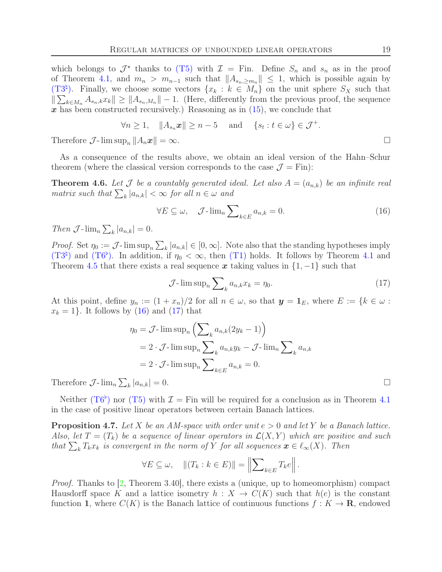which belongs to  $\mathcal{J}^*$  thanks to (T[5\)](#page-4-2) with  $\mathcal{I} =$  Fin. Define  $S_n$  and  $s_n$  as in the proof of Theorem [4.1,](#page-15-2) and  $m_n > m_{n-1}$  such that  $||A_{s_n, \geq m_n}|| \leq 1$ , which is possible again by ([T](#page-5-1)3<sup> $\natural$ </sup>). Finally, we choose some vectors  $\{x_k : k \in M_n\}$  on the unit sphere  $S_X$  such that  $\|\sum_{k\in M_n} A_{s_n,k}x_k\| \ge \|A_{s_n,M_n}\| - 1.$  (Here, differently from the previous proof, the sequence  $x$  has been constructed recursively.) Reasoning as in  $(15)$ , we conclude that

$$
\forall n \ge 1, \quad \|A_{s_n} \mathbf{x}\| \ge n-5 \quad \text{and} \quad \{s_t : t \in \omega\} \in \mathcal{J}^+.
$$

Therefore  $\mathcal{J}$ -  $\limsup_n ||A_n x|| = \infty$ .

As a consequence of the results above, we obtain an ideal version of the Hahn–Schur theorem (where the classical version corresponds to the case  $\mathcal{J} = \text{Fin}$ ):

<span id="page-18-0"></span>**Theorem 4.6.** Let  $\mathcal J$  be a countably generated ideal. Let also  $A = (a_{n,k})$  be an infinite real  $matrix \; such \; that \sum_{k} |a_{n,k}| < \infty \; for \; all \; n \in \omega \; and$ 

<span id="page-18-1"></span>
$$
\forall E \subseteq \omega, \quad \mathcal{J}\text{-}\lim_{n} \sum_{k \in E} a_{n,k} = 0. \tag{16}
$$

*Then*  $\mathcal{J}$ - $\lim_{n} \sum_{k} |a_{n,k}| = 0$ .

*Proof.* Set  $\eta_0 := \mathcal{J}$ -  $\limsup_n \sum_k |a_{n,k}| \in [0,\infty]$ . Note also that the standing hypotheses imply  $(T3^{\natural})$  $(T3^{\natural})$  $(T3^{\natural})$  and  $(T6^{\flat})$ . In addition, if  $\eta_0 < \infty$ , then  $(T1)$  $(T1)$  holds. It follows by Theorem [4.1](#page-15-2) and Theorem [4.5](#page-17-4) that there exists a real sequence x taking values in  $\{1, -1\}$  such that

<span id="page-18-2"></span>
$$
\mathcal{J}\text{-}\limsup_{n}\sum_{k}a_{n,k}x_{k}=\eta_{0}.\tag{17}
$$

At this point, define  $y_n := (1 + x_n)/2$  for all  $n \in \omega$ , so that  $y = 1_E$ , where  $E := \{k \in \omega :$  $x_k = 1$ . It follows by  $(16)$  and  $(17)$  that

$$
\eta_0 = \mathcal{J}\text{-}\limsup_n \left( \sum_k a_{n,k} (2y_k - 1) \right)
$$
  
=  $2 \cdot \mathcal{J}\text{-}\limsup_n \sum_k a_{n,k} y_k - \mathcal{J}\text{-}\lim_n \sum_k a_{n,k}$   
=  $2 \cdot \mathcal{J}\text{-}\limsup_n \sum_{k \in E} a_{n,k} = 0.$ 

Therefore  $\mathcal{J}$ - $\lim_{n} \sum_{k} |a_{n,k}| = 0.$ 

Neither ([T](#page-5-0)6<sup>b</sup>) nor (T[5\)](#page-4-2) with  $\mathcal{I} =$  Fin will be required for a conclusion as in Theorem [4.1](#page-15-2) in the case of positive linear operators between certain Banach lattices.

<span id="page-18-3"></span>Proposition 4.7. *Let* X *be an AM-space with order unit* e > 0 *and let* Y *be a Banach lattice. Also, let*  $T = (T_k)$  *be a sequence of linear operators in*  $\mathcal{L}(X, Y)$  *which are positive and such that*  $\sum_{k} T_{k}x_{k}$  *is convergent in the norm of* Y *for all sequences*  $\boldsymbol{x} \in \ell_{\infty}(X)$ *. Then* 

$$
\forall E \subseteq \omega, \quad ||(T_k : k \in E)|| = \left\| \sum_{k \in E} T_k e \right\|.
$$

*Proof.* Thanks to [\[2,](#page-23-7) Theorem 3.40], there exists a (unique, up to homeomorphism) compact Hausdorff space K and a lattice isometry  $h: X \to C(K)$  such that  $h(e)$  is the constant function 1, where  $C(K)$  is the Banach lattice of continuous functions  $f: K \to \mathbf{R}$ , endowed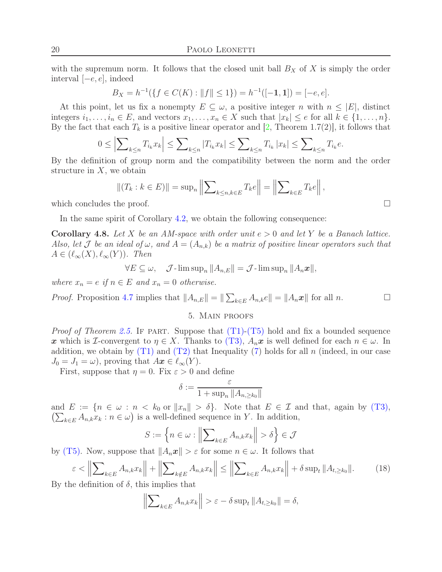with the supremum norm. It follows that the closed unit ball  $B_X$  of X is simply the order interval [−e, e], indeed

$$
B_X = h^{-1}(\{f \in C(K) : ||f|| \le 1\}) = h^{-1}([-1, 1]) = [-e, e].
$$

At this point, let us fix a nonempty  $E \subseteq \omega$ , a positive integer n with  $n \leq |E|$ , distinct integers  $i_1, \ldots, i_n \in E$ , and vectors  $x_1, \ldots, x_n \in X$  such that  $|x_k| \le e$  for all  $k \in \{1, \ldots, n\}$ . By the fact that each  $T_k$  is a positive linear operator and [\[2,](#page-23-7) Theorem 1.7(2)], it follows that

$$
0 \le \Big|\sum_{k \le n} T_{i_k} x_k\Big| \le \sum_{k \le n} |T_{i_k} x_k| \le \sum_{k \le n} T_{i_k} |x_k| \le \sum_{k \le n} T_{i_k} e.
$$

By the definition of group norm and the compatibility between the norm and the order structure in  $X$ , we obtain

$$
||(T_k : k \in E)|| = \sup_n ||\sum_{k \le n, k \in E} T_k e|| = ||\sum_{k \in E} T_k e||,
$$

which concludes the proof.  $\Box$ 

In the same spirit of Corollary [4.2,](#page-17-3) we obtain the following consequence:

<span id="page-19-1"></span>Corollary 4.8. *Let* X *be an AM-space with order unit* e > 0 *and let* Y *be a Banach lattice. Also, let*  $\mathcal J$  *be an ideal of*  $\omega$ *, and*  $A = (A_{n,k})$  *be a matrix of positive linear operators such that*  $A \in (\ell_{\infty}(X), \ell_{\infty}(Y))$ *. Then* 

 $\forall E \subseteq \omega$ ,  $\mathcal{J}$ -lim sup<sub>n</sub>  $||A_{n,E}|| = \mathcal{J}$ -lim sup<sub>n</sub>  $||A_n \mathbf{x}||$ ,

*where*  $x_n = e$  *if*  $n \in E$  *and*  $x_n = 0$  *otherwise.* 

<span id="page-19-0"></span>*Proof.* Proposition [4.7](#page-18-3) implies that  $||A_{n,E}|| = ||\sum_{k \in E} A_{n,k}e|| = ||A_n \mathbf{x}||$  for all n.

#### 5. Main proofs

*Proof of Theorem [2.5.](#page-4-6)* IF PART. Suppose that  $(T1)-(T5)$  $(T1)-(T5)$  $(T1)-(T5)$  $(T1)-(T5)$  hold and fix a bounded sequence x which is I-convergent to  $\eta \in X$ . Thanks to (T[3\),](#page-4-1)  $A_n$ x is well defined for each  $n \in \omega$ . In addition, we obtain by  $(T1)$  $(T1)$  and  $(T2)$  $(T2)$  that Inequality [\(7\)](#page-13-6) holds for all n (indeed, in our case  $J_0 = J_1 = \omega$ , proving that  $Ax \in \ell_{\infty}(Y)$ .

First, suppose that  $\eta = 0$ . Fix  $\varepsilon > 0$  and define

$$
\delta:=\frac{\varepsilon}{1+\sup_n\|A_{n,\ge k_0}\|}
$$

and  $E := \{n \in \omega : n < k_0 \text{ or } ||x_n|| > \delta\}.$  Note that  $E \in \mathcal{I}$  and that, again by (T[3\),](#page-4-1)  $\left(\sum_{k\in E} A_{n,k} x_k : n \in \omega\right)$  is a well-defined sequence in Y. In addition,

$$
S := \left\{ n \in \omega : \left\| \sum_{k \in E} A_{n,k} x_k \right\| > \delta \right\} \in \mathcal{J}
$$

by (T[5\).](#page-4-2) Now, suppose that  $||A_n\mathbf{x}|| > \varepsilon$  for some  $n \in \omega$ . It follows that

<span id="page-19-2"></span>
$$
\varepsilon < \left\| \sum_{k \in E} A_{n,k} x_k \right\| + \left\| \sum_{k \notin E} A_{n,k} x_k \right\| \le \left\| \sum_{k \in E} A_{n,k} x_k \right\| + \delta \sup_t \|A_{t,\ge k_0}\|. \tag{18}
$$

By the definition of  $\delta$ , this implies that

$$
\left\| \sum_{k \in E} A_{n,k} x_k \right\| > \varepsilon - \delta \sup_t \| A_{t,\geq k_0} \| = \delta,
$$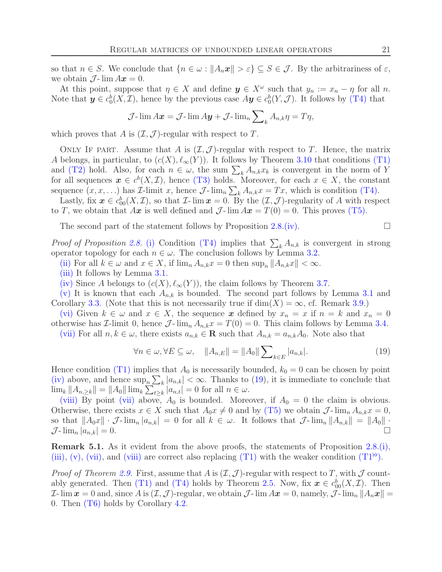so that  $n \in S$ . We conclude that  $\{n \in \omega : ||A_n x|| > \varepsilon\} \subseteq S \in \mathcal{J}$ . By the arbitrariness of  $\varepsilon$ , we obtain  $\mathcal{J}\text{-}\lim Ax = 0$ .

At this point, suppose that  $\eta \in X$  and define  $y \in X^{\omega}$  such that  $y_n := x_n - \eta$  for all n. Note that  $y \in c_0^b(X, \mathcal{I})$ , hence by the previous case  $A y \in c_0^b(Y, \mathcal{J})$ . It follows by (T[4\)](#page-4-0) that

$$
\mathcal{J}\text{-}\lim A\boldsymbol{x} = \mathcal{J}\text{-}\lim A\boldsymbol{y} + \mathcal{J}\text{-}\lim_{n} \sum\nolimits_{k} A_{n,k} \eta = T\eta,
$$

which proves that A is  $(\mathcal{I}, \mathcal{J})$ -regular with respect to T.

ONLY IF PART. Assume that A is  $(\mathcal{I}, \mathcal{J})$ -regular with respect to T. Hence, the matrix A belongs, in particular, to  $(c(X), \ell_{\infty}(Y))$ . It follows by Theorem [3.10](#page-13-1) that conditions (T[1\)](#page-4-5) and (T[2\)](#page-4-4) hold. Also, for each  $n \in \omega$ , the sum  $\sum_{k} A_{n,k} x_k$  is convergent in the norm of Y for all sequences  $x \in c^b(X, \mathcal{I})$ , hence (T[3\)](#page-4-1) holds. Moreover, for each  $x \in X$ , the constant sequence  $(x, x, \ldots)$  has *I*-limit x, hence  $\mathcal{J}$ -lim<sub>n</sub>  $\sum_{k} A_{n,k} x = Tx$ , which is condition (T[4\).](#page-4-0)

Lastly, fix  $\mathbf{x} \in c_{00}^b(X,\mathcal{I})$ , so that  $\mathcal{I}\text{-}\lim \mathbf{x} = 0$ . By the  $(\mathcal{I},\mathcal{J})\text{-}\text{regularity of }A$  with respect to T, we obtain that  $Ax$  is well defined and  $\mathcal{J}\text{-}\lim Ax = T(0) = 0$ . This proves (T[5\).](#page-4-2)

The second part of the statement follows by Proposition [2.8](#page-5-2)[.\(iv\).](#page-5-7)  $\Box$ 

*Proof of Proposition* [2.8.](#page-5-2) [\(i\)](#page-5-3) Condition (T[4\)](#page-4-0) implies that  $\sum_{k} A_{n,k}$  is convergent in strong operator topology for each  $n \in \omega$ . The conclusion follows by Lemma [3.2.](#page-10-6)

[\(ii\)](#page-5-4) For all  $k \in \omega$  and  $x \in X$ , if  $\lim_{n} A_{n,k}x = 0$  then  $\sup_{n} \|A_{n,k}x\| < \infty$ .

[\(iii\)](#page-5-8) It follows by Lemma [3.1.](#page-10-5)

[\(iv\)](#page-5-7) Since A belongs to  $(c(X), \ell_\infty(Y))$ , the claim follows by Theorem [3.7.](#page-12-3)

[\(v\)](#page-5-6) It is known that each  $A_{n,k}$  is bounded. The second part follows by Lemma [3.1](#page-10-5) and Corollary [3.3.](#page-11-4) (Note that this is not necessarily true if  $\dim(X) = \infty$ , cf. Remark [3.9.](#page-13-7))

[\(vi\)](#page-5-9) Given  $k \in \omega$  and  $x \in X$ , the sequence x defined by  $x_n = x$  if  $n = k$  and  $x_n = 0$ otherwise has *I*-limit 0, hence  $\mathcal{J}\text{-}\lim_{n} A_{n,k} x = T(0) = 0$ . This claim follows by Lemma [3.4.](#page-11-0)

[\(vii\)](#page-5-10) For all  $n, k \in \omega$ , there exists  $a_{n,k} \in \mathbf{R}$  such that  $A_{n,k} = a_{n,k}A_0$ . Note also that

<span id="page-20-1"></span>
$$
\forall n \in \omega, \forall E \subseteq \omega, \quad \|A_{n,E}\| = \|A_0\| \sum_{k \in E} |a_{n,k}|. \tag{19}
$$

Hence condition (T[1\)](#page-4-5) implies that  $A_0$  is necessarily bounded,  $k_0 = 0$  can be chosen by point [\(iv\)](#page-5-7) above, and hence  $\sup_n \sum_k |a_{n,k}| < \infty$ . Thanks to [\(19\)](#page-20-1), it is immediate to conclude that  $\lim_{k} ||A_{n,\geq k}|| = ||A_0|| \lim_{k} \sum_{t \geq k} |a_{n,t}| = 0$  for all  $n \in \omega$ .

[\(viii\)](#page-5-11) By point [\(vii\)](#page-5-10) above,  $A_0$  is bounded. Moreover, if  $A_0 = 0$  the claim is obvious. Otherwise, there exists  $x \in X$  such that  $A_0x \neq 0$  and by (T[5\)](#page-4-2) we obtain  $\mathcal{J}$ - $\lim_n A_{n,k} x = 0$ , so that  $||A_0x|| \cdot \mathcal{J}\text{-}\lim_n |a_{n,k}| = 0$  for all  $k \in \omega$ . It follows that  $\mathcal{J}\text{-}\lim_n ||A_{n,k}|| = ||A_0|| \cdot$  $\mathcal{J}\text{-}\lim_{n}|a_{n,k}|=0.$ 

<span id="page-20-0"></span>**Remark 5.1.** As it evident from the above proofs, the statements of Proposition  $2.8(i)$  $2.8(i)$ , [\(iii\),](#page-5-8) [\(v\),](#page-5-6) [\(vii\),](#page-5-10) and [\(viii\)](#page-5-11) are correct also replacing (T[1\)](#page-4-5) with the weaker condition  $(T1^{\flat})$  $(T1^{\flat})$  $(T1^{\flat})$ .

*Proof of Theorem [2.9.](#page-5-12)* First, assume that A is  $(\mathcal{I}, \mathcal{J})$ -regular with respect to T, with  $\mathcal J$  count-ably generated. Then (T[1\)](#page-4-5) and (T[4\)](#page-4-0) holds by Theorem [2.5.](#page-4-6) Now, fix  $x \in c_{00}^{b}(X,\mathcal{I})$ . Then  $\mathcal{I}\text{-}\lim_{\mathbf{x}} x = 0$  and, since A is  $(\mathcal{I}, \mathcal{J})$ -regular, we obtain  $\mathcal{J}\text{-}\lim_{\mathbf{x}} A\mathbf{x} = 0$ , namely,  $\mathcal{J}\text{-}\lim_{n} ||A_n\mathbf{x}|| =$ 0. Then (T[6\)](#page-5-5) holds by Corollary [4.2.](#page-17-3)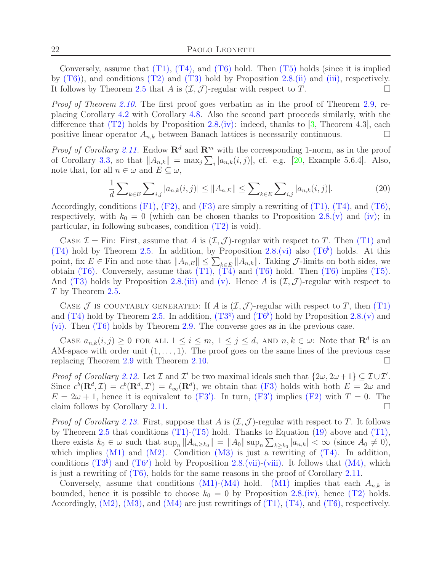Conversely, assume that  $(T1)$ ,  $(T4)$ , and  $(T6)$  $(T6)$  hold. Then  $(T5)$  $(T5)$  holds (since it is implied by  $(T6)$ , and conditions  $(T2)$  $(T2)$  and  $(T3)$  $(T3)$  hold by Proposition [2.8.](#page-5-2)[\(ii\)](#page-5-4) and [\(iii\),](#page-5-8) respectively. It follows by Theorem [2.5](#page-4-6) that A is  $(\mathcal{I}, \mathcal{J})$ -regular with respect to T.

*Proof of Theorem [2.10.](#page-6-5)* The first proof goes verbatim as in the proof of Theorem [2.9,](#page-5-12) replacing Corollary [4.2](#page-17-3) with Corollary [4.8.](#page-19-1) Also the second part proceeds similarly, with the difference that  $(T2)$  $(T2)$  holds by Proposition [2.8.](#page-5-2)[\(iv\):](#page-5-7) indeed, thanks to [\[3,](#page-23-8) Theorem 4.3], each positive linear operator  $A_{n,k}$  between Banach lattices is necessarily continuous.

*Proof of Corollary* [2.11.](#page-6-2) Endow  $\mathbb{R}^d$  and  $\mathbb{R}^m$  with the corresponding 1-norm, as in the proof of Corollary [3.3,](#page-11-4) so that  $||A_{n,k}|| = \max_j \sum_i |a_{n,k}(i,j)|$ , cf. e.g. [\[20,](#page-24-23) Example 5.6.4]. Also, note that, for all  $n \in \omega$  and  $E \subseteq \omega$ ,

$$
\frac{1}{d} \sum_{k \in E} \sum_{i,j} |a_{n,k}(i,j)| \le ||A_{n,E}|| \le \sum_{k \in E} \sum_{i,j} |a_{n,k}(i,j)|. \tag{20}
$$

Accordingly, conditions  $(F1)$ ,  $(F2)$ , and  $(F3)$  $(F3)$  are simply a rewriting of  $(T1)$ ,  $(T4)$ , and  $(T6)$ , respectively, with  $k_0 = 0$  (which can be chosen thanks to Proposition [2.8](#page-5-2)[.\(v\)](#page-5-6) and [\(iv\);](#page-5-7) in particular, in following subcases, condition (T[2\)](#page-4-4) is void).

CASE  $\mathcal{I} =$  Fin: First, assume that A is  $(\mathcal{I}, \mathcal{J})$ -regular with respect to T. Then (T[1\)](#page-4-5) and (T[4\)](#page-4-0) hold by Theorem [2.5.](#page-4-6) In addition, by Proposition [2.8.](#page-5-2)[\(vi\)](#page-5-9) also  $(T6^{\circ})$  $(T6^{\circ})$  $(T6^{\circ})$  holds. At this point, fix  $E \in \text{Fin}$  and note that  $||A_{n,E}|| \leq \sum_{k \in E} ||A_{n,k}||$ . Taking  $\mathcal{J}$ -limits on both sides, we obtain  $(T6)$  $(T6)$ . Conversely, assume that  $(T1)$ ,  $(T4)$  $(T4)$  and  $(T6)$  hold. Then  $(T6)$  implies  $(T5)$ . And (T[3\)](#page-4-1) holds by Proposition [2.8.](#page-5-2)[\(iii\)](#page-5-8) and [\(v\).](#page-5-6) Hence A is  $(\mathcal{I}, \mathcal{J})$ -regular with respect to T by Theorem [2.5.](#page-4-6)

CASE J IS COUNTABLY GENERATED: If A is  $(\mathcal{I}, \mathcal{J})$ -regular with respect to T, then (T[1\)](#page-4-5) and (T[4\)](#page-4-0) hold by Theorem [2.5.](#page-4-6) In addition,  $(T3^{\natural})$  $(T3^{\natural})$  $(T3^{\natural})$  and  $(T6^{\flat})$  hold by Proposition [2.8](#page-5-2)[.\(v\)](#page-5-6) and [\(vi\).](#page-5-9) Then (T[6\)](#page-5-5) holds by Theorem [2.9.](#page-5-12) The converse goes as in the previous case.

CASE  $a_{n,k}(i,j) \geq 0$  FOR ALL  $1 \leq i \leq m, 1 \leq j \leq d$ , AND  $n, k \in \omega$ : Note that  $\mathbb{R}^d$  is an AM-space with order unit  $(1, \ldots, 1)$ . The proof goes on the same lines of the previous case replacing Theorem [2.9](#page-5-12) with Theorem [2.10.](#page-6-5)

*Proof of Corollary [2.12.](#page-6-0)* Let  $\mathcal I$  and  $\mathcal I'$  be two maximal ideals such that  $\{2\omega, 2\omega+1\} \subseteq \mathcal I \cup \mathcal I'$ . Since  $c^b(\mathbf{R}^d, \mathcal{I}) = c^b(\mathbf{R}^d, \mathcal{I}') = \ell_\infty(\mathbf{R}^d)$ , we obtain that (F[3\)](#page-6-1) holds with both  $E = 2\omega$  and  $E = 2\omega + 1$ , hence it is equivalent to  $(F3')$  $(F3')$  $(F3')$ . In turn,  $(F3')$  implies  $(F2)$  $(F2)$  with  $T = 0$ . The claim follows by Corollary [2.11.](#page-6-2)

*Proof of Corollary [2.13.](#page-6-4)* First, suppose that A is  $(\mathcal{I}, \mathcal{J})$ -regular with respect to T. It follows by Theorem [2.5](#page-4-6) that conditions  $(T1)-(T5)$  $(T1)-(T5)$  $(T1)-(T5)$  $(T1)-(T5)$  hold. Thanks to Equation [\(19\)](#page-20-1) above and  $(T1)$ , there exists  $k_0 \in \omega$  such that  $\sup_n ||A_{n,\geq k_0}|| = ||A_0|| \sup_n \sum_{k\geq k_0} |a_{n,k}| < \infty$  (since  $A_0 \neq 0$ ), which implies  $(M1)$  $(M1)$  $(M1)$  and  $(M2)$ . Condition  $(M3)$  is just a rewriting of  $(T4)$ . In addition, conditions  $(T3^{\natural})$  $(T3^{\natural})$  $(T3^{\natural})$  and  $(T6^{\flat})$  hold by Proposition [2.8](#page-5-2)[.\(vii\)](#page-5-10)[-\(viii\).](#page-5-11) It follows that  $(M4)$ , which is just a rewriting of  $(T6)$ , holds for the same reasons in the proof of Corollary [2.11.](#page-6-2)

Conversely, assume that conditions  $(M1)-(M4)$  $(M1)-(M4)$  $(M1)-(M4)$  $(M1)-(M4)$  $(M1)-(M4)$  hold.  $(M1)$  implies that each  $A_{n,k}$  is bounded, hence it is possible to choose  $k_0 = 0$  by Proposition [2.8](#page-5-2)[.\(iv\),](#page-5-7) hence (T[2\)](#page-4-4) holds. Accordingly,  $(M2)$  $(M2)$  $(M2)$ ,  $(M3)$ , and  $(M4)$  are just rewritings of  $(T1)$ ,  $(T4)$ , and  $(T6)$ , respectively.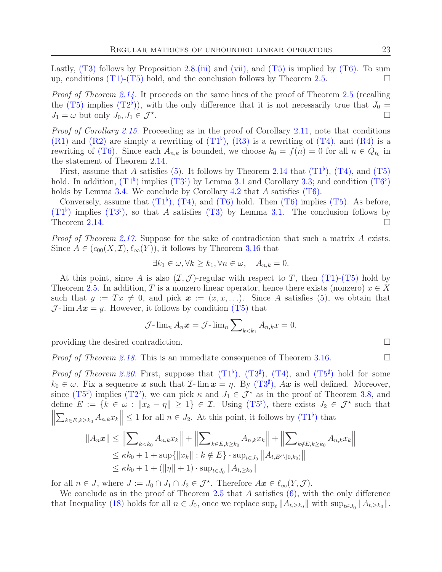Lastly,  $(T3)$  $(T3)$  follows by Proposition [2.8](#page-5-2)[.\(iii\)](#page-5-8) and [\(vii\),](#page-5-10) and  $(T5)$  $(T5)$  is implied by  $(T6)$ . To sum up, conditions (T[1\)-](#page-4-5)(T[5\)](#page-4-2) hold, and the conclusion follows by Theorem [2.5.](#page-4-6)

*Proof of Theorem [2.14.](#page-7-0)* It proceeds on the same lines of the proof of Theorem [2.5](#page-4-6) (recalling the (T[5\)](#page-4-2) implies ([T](#page-12-2)2<sup>b</sup>)), with the only difference that it is not necessarily true that  $J_0 =$  $J_1 = \omega$  but only  $J_0, J_1 \in \mathcal{J}^*$ . .

*Proof of Corollary [2.15.](#page-8-3)* Proceeding as in the proof of Corollary [2.11,](#page-6-2) note that conditions  $(R1)$  $(R1)$  and  $(R2)$  $(R2)$  are simply a rewriting of  $(T1<sup>b</sup>)$  $(T1<sup>b</sup>)$  $(T1<sup>b</sup>)$ ,  $(R3)$  $(R3)$  is a rewriting of  $(T4)$  $(T4)$ , and  $(R4)$  is a rewriting of (T[6\).](#page-5-5) Since each  $A_{n,k}$  is bounded, we choose  $k_0 = f(n) = 0$  for all  $n \in Q_{t_0}$  in the statement of Theorem [2.14.](#page-7-0)

First, assume that A satisfies [\(5\)](#page-9-1). It follows by Theorem [2.14](#page-7-0) that  $(T1^{\flat})$  $(T1^{\flat})$  $(T1^{\flat})$ ,  $(T4)$ , and  $(T5)$  $(T5)$ hold. In addition,  $(T1^{\flat})$  $(T1^{\flat})$  $(T1^{\flat})$  implies  $(T3^{\natural})$  by Lemma [3.1](#page-10-5) and Corollary [3.3;](#page-11-4) and condition  $(T6^{\flat})$ holds by Lemma [3.4.](#page-11-0) We conclude by Corollary [4.2](#page-17-3) that  $A$  satisfies  $(T6)$ .

Conversely, assume that  $(T1^{\flat})$  $(T1^{\flat})$  $(T1^{\flat})$ ,  $(T4)$ , and  $(T6)$  $(T6)$  hold. Then  $(T6)$  implies  $(T5)$ . As before,  $(T1^{\flat})$  $(T1^{\flat})$  $(T1^{\flat})$  implies  $(T3^{\sharp})$ , so that A satisfies  $(T3)$  $(T3)$  by Lemma [3.1.](#page-10-5) The conclusion follows by Theorem [2.14.](#page-7-0)  $\Box$ 

*Proof of Theorem [2.17.](#page-9-4)* Suppose for the sake of contradiction that such a matrix A exists. Since  $A \in (c_{00}(X, \mathcal{I}), \ell_{\infty}(Y))$ , it follows by Theorem [3.16](#page-15-3) that

$$
\exists k_1 \in \omega, \forall k \ge k_1, \forall n \in \omega, \quad A_{n,k} = 0.
$$

At this point, since A is also  $(\mathcal{I}, \mathcal{J})$ -regular with respect to T, then  $(T1)-(T5)$  $(T1)-(T5)$  $(T1)-(T5)$  $(T1)-(T5)$  hold by Theorem [2.5.](#page-4-6) In addition, T is a nonzero linear operator, hence there exists (nonzero)  $x \in X$ such that  $y := Tx \neq 0$ , and pick  $x := (x, x, \ldots)$ . Since A satisfies [\(5\)](#page-9-1), we obtain that  $\mathcal{J}\text{-}\lim Ax = y$ . However, it follows by condition (T[5\)](#page-4-2) that

$$
\mathcal{J}\text{-}\lim_{n} A_n \boldsymbol{x} = \mathcal{J}\text{-}\lim_{n} \sum_{k < k_1} A_{n,k} x = 0,
$$

providing the desired contradiction.

*Proof of Theorem [2.18.](#page-9-0)* This is an immediate consequence of Theorem [3.16.](#page-15-3)

*Proof of Theorem [2.20.](#page-10-8)* First, suppose that  $(T1^{\flat})$  $(T1^{\flat})$  $(T1^{\flat})$ ,  $(T3^{\sharp})$ ,  $(T4)$ , and  $(T5^{\sharp})$  hold for some  $k_0 \in \omega$ . Fix a sequence x such that  $\mathcal{I}\text{-}\lim x = \eta$ . By  $(T3^{\sharp})$  $(T3^{\sharp})$  $(T3^{\sharp})$ ,  $Ax$  is well defined. Moreover, since  $(T5^{\sharp})$  $(T5^{\sharp})$  $(T5^{\sharp})$  implies  $(T2^{\flat})$ , we can pick  $\kappa$  and  $J_1 \in \mathcal{J}^*$  as in the proof of Theorem [3.8,](#page-13-0) and define  $E := \{k \in \omega : ||x_k - \eta|| \geq 1\} \in \mathcal{I}$ . Using  $(T5^{\sharp})$  $(T5^{\sharp})$  $(T5^{\sharp})$ , there exists  $J_2 \in \mathcal{J}^*$  such that  $\begin{array}{c} \hline \end{array}$  $\sum_{k\in E, k\geq k_0} A_{n,k} x_k \leq 1$  for all  $n \in J_2$ . At this point, it follows by  $(T1^{\flat})$  $(T1^{\flat})$  $(T1^{\flat})$  that

$$
||A_n \mathbf{x}|| \le ||\sum_{k < k_0} A_{n,k} x_k|| + ||\sum_{k \in E, k \ge k_0} A_{n,k} x_k|| + ||\sum_{k \notin E, k \ge k_0} A_{n,k} x_k||
$$
  
\n
$$
\le \kappa k_0 + 1 + \sup\{||x_k|| : k \notin E\} \cdot \sup_{t \in J_0} ||A_{t, E^c \setminus [0, k_0)}||
$$
  
\n
$$
\le \kappa k_0 + 1 + (||\eta|| + 1) \cdot \sup_{t \in J_0} ||A_{t, \ge k_0}||
$$

for all  $n \in J$ , where  $J := J_0 \cap J_1 \cap J_2 \in \mathcal{J}^*$ . Therefore  $Ax \in \ell_{\infty}(Y, \mathcal{J})$ .

We conclude as in the proof of Theorem [2.5](#page-4-6) that  $A$  satisfies  $(6)$ , with the only difference that Inequality [\(18\)](#page-19-2) holds for all  $n \in J_0$ , once we replace  $\sup_t ||A_{t,\geq k_0}||$  with  $\sup_{t\in J_0} ||A_{t,\geq k_0}||$ .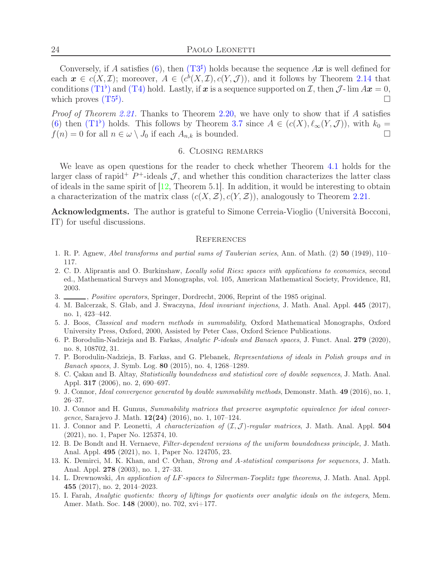Conversely, if A satisfies [\(6\)](#page-9-3), then  $(T3^{\sharp})$  $(T3^{\sharp})$  $(T3^{\sharp})$  holds because the sequence Ax is well defined for each  $\mathbf{x} \in c(X, \mathcal{I})$ ; moreover,  $A \in (c^b(X, \mathcal{I}), c(Y, \mathcal{J}))$ , and it follows by Theorem [2.14](#page-7-0) that conditions ([T](#page-7-2)1<sup>b</sup>) and (T[4\)](#page-4-0) hold. Lastly, if x is a sequence supported on I, then  $\mathcal{J}\text{-}\lim Ax = 0$ , which proves  $(T5^{\sharp}$  $(T5^{\sharp}$  $(T5^{\sharp}$ ).  $\Box$ 

*Proof of Theorem [2.21.](#page-10-9)* Thanks to Theorem [2.20,](#page-10-8) we have only to show that if A satisfies [\(6\)](#page-9-3) then  $(T1^{\flat})$  $(T1^{\flat})$  $(T1^{\flat})$  holds. This follows by Theorem [3.7](#page-12-3) since  $A \in (c(X), \ell_{\infty}(Y, \mathcal{J}))$ , with  $k_0 =$  $f(n) = 0$  for all  $n \in \omega \setminus J_0$  if each  $A_{n,k}$  is bounded.

# 6. Closing remarks

We leave as open questions for the reader to check whether Theorem [4.1](#page-15-2) holds for the larger class of rapid<sup>+</sup>  $P^+$ -ideals  $\mathcal{J}$ , and whether this condition characterizes the latter class of ideals in the same spirit of [\[12,](#page-23-10) Theorem 5.1]. In addition, it would be interesting to obtain a characterization of the matrix class  $(c(X, \mathcal{Z}), c(Y, \mathcal{Z}))$ , analogously to Theorem [2.21.](#page-10-9)

Acknowledgments. The author is grateful to Simone Cerreia-Vioglio (Università Bocconi, IT) for useful discussions.

### **REFERENCES**

- <span id="page-23-14"></span><span id="page-23-7"></span>1. R. P. Agnew, *Abel transforms and partial sums of Tauberian series*, Ann. of Math. (2) 50 (1949), 110– 117.
- 2. C. D. Aliprantis and O. Burkinshaw, *Locally solid Riesz spaces with applications to economics*, second ed., Mathematical Surveys and Monographs, vol. 105, American Mathematical Society, Providence, RI, 2003.
- <span id="page-23-13"></span><span id="page-23-8"></span>3. , *Positive operators*, Springer, Dordrecht, 2006, Reprint of the 1985 original.
- 4. M. Balcerzak, S. Głab, and J. Swaczyna, *Ideal invariant injections*, J. Math. Anal. Appl. 445 (2017), no. 1, 423–442.
- <span id="page-23-0"></span>5. J. Boos, *Classical and modern methods in summability*, Oxford Mathematical Monographs, Oxford University Press, Oxford, 2000, Assisted by Peter Cass, Oxford Science Publications.
- <span id="page-23-2"></span>6. P. Borodulin-Nadzieja and B. Farkas, *Analytic P-ideals and Banach spaces*, J. Funct. Anal. 279 (2020), no. 8, 108702, 31.
- <span id="page-23-3"></span>7. P. Borodulin-Nadzieja, B. Farkas, and G. Plebanek, *Representations of ideals in Polish groups and in Banach spaces*, J. Symb. Log. 80 (2015), no. 4, 1268–1289.
- <span id="page-23-9"></span>8. C. Çakan and B. Altay, *Statistically boundedness and statistical core of double sequences*, J. Math. Anal. Appl. 317 (2006), no. 2, 690–697.
- <span id="page-23-11"></span><span id="page-23-5"></span>9. J. Connor, *Ideal convergence generated by double summability methods*, Demonstr. Math. 49 (2016), no. 1, 26–37.
- 10. J. Connor and H. Gumus, *Summability matrices that preserve asymptotic equivalence for ideal convergence*, Sarajevo J. Math. 12(24) (2016), no. 1, 107–124.
- <span id="page-23-1"></span>11. J. Connor and P. Leonetti, *A characterization of* (I,J )*-regular matrices*, J. Math. Anal. Appl. 504 (2021), no. 1, Paper No. 125374, 10.
- <span id="page-23-10"></span>12. B. De Bondt and H. Vernaeve, *Filter-dependent versions of the uniform boundedness principle*, J. Math. Anal. Appl. 495 (2021), no. 1, Paper No. 124705, 23.
- <span id="page-23-6"></span>13. K. Demirci, M. K. Khan, and C. Orhan, *Strong and* A*-statistical comparisons for sequences*, J. Math. Anal. Appl. 278 (2003), no. 1, 27–33.
- <span id="page-23-4"></span>14. L. Drewnowski, *An application of* LF*-spaces to Silverman-Toeplitz type theorems*, J. Math. Anal. Appl. 455 (2017), no. 2, 2014–2023.
- <span id="page-23-12"></span>15. I. Farah, *Analytic quotients: theory of liftings for quotients over analytic ideals on the integers*, Mem. Amer. Math. Soc. 148 (2000), no. 702, xvi+177.